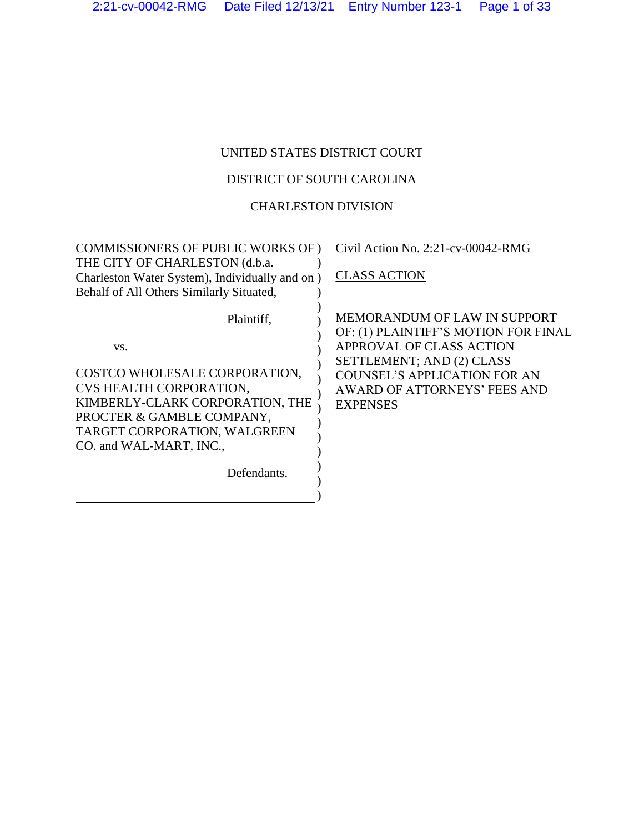# UNITED STATES DISTRICT COURT

## DISTRICT OF SOUTH CAROLINA

### CHARLESTON DIVISION

| <b>COMMISSIONERS OF PUBLIC WORKS OF)</b><br>THE CITY OF CHARLESTON (d.b.a.<br>Charleston Water System), Individually and on )<br>Behalf of All Others Similarly Situated,                                               | Civil Action No. 2:21-cv-00042-RMG<br><b>CLASS ACTION</b>                                                                                                                                                               |
|-------------------------------------------------------------------------------------------------------------------------------------------------------------------------------------------------------------------------|-------------------------------------------------------------------------------------------------------------------------------------------------------------------------------------------------------------------------|
| Plaintiff,<br>VS.<br>COSTCO WHOLESALE CORPORATION,<br>CVS HEALTH CORPORATION,<br>KIMBERLY-CLARK CORPORATION, THE<br>PROCTER & GAMBLE COMPANY,<br>TARGET CORPORATION, WALGREEN<br>CO. and WAL-MART, INC.,<br>Defendants. | MEMORANDUM OF LAW IN SUPPORT<br>OF: (1) PLAINTIFF'S MOTION FOR FINAL<br>APPROVAL OF CLASS ACTION<br>SETTLEMENT; AND (2) CLASS<br><b>COUNSEL'S APPLICATION FOR AN</b><br>AWARD OF ATTORNEYS' FEES AND<br><b>EXPENSES</b> |
|                                                                                                                                                                                                                         |                                                                                                                                                                                                                         |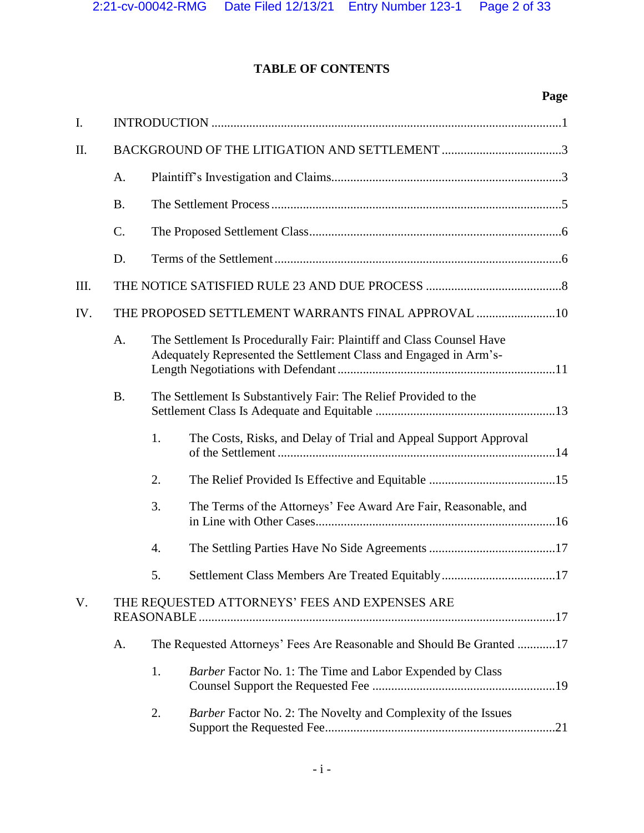**Page**

### **TABLE OF CONTENTS**

# I. INTRODUCTION ...............................................................................................................1 II. BACKGROUND OF THE LITIGATION AND SETTLEMENT ......................................3 A. Plaintiff's Investigation and Claims.........................................................................3 B. The Settlement Process............................................................................................5 C. The Proposed Settlement Class................................................................................6 D. Terms of the Settlement...........................................................................................6 III. THE NOTICE SATISFIED RULE 23 AND DUE PROCESS ...........................................8 IV. THE PROPOSED SETTLEMENT WARRANTS FINAL APPROVAL .........................10 A. The Settlement Is Procedurally Fair: Plaintiff and Class Counsel Have Adequately Represented the Settlement Class and Engaged in Arm's-Length Negotiations with Defendant.....................................................................11 B. The Settlement Is Substantively Fair: The Relief Provided to the Settlement Class Is Adequate and Equitable .........................................................13 1. The Costs, Risks, and Delay of Trial and Appeal Support Approval of the Settlement ........................................................................................14 2. The Relief Provided Is Effective and Equitable ........................................15 3. The Terms of the Attorneys' Fee Award Are Fair, Reasonable, and in Line with Other Cases............................................................................16 4. The Settling Parties Have No Side Agreements........................................17 5. Settlement Class Members Are Treated Equitably....................................17 V. THE REQUESTED ATTORNEYS' FEES AND EXPENSES ARE REASONABLE.................................................................................................................17 A. The Requested Attorneys' Fees Are Reasonable and Should Be Granted ............17 1. *Barber* Factor No. 1: The Time and Labor Expended by Class Counsel Support the Requested Fee ..........................................................19 2. *Barber* Factor No. 2: The Novelty and Complexity of the Issues Support the Requested Fee.........................................................................21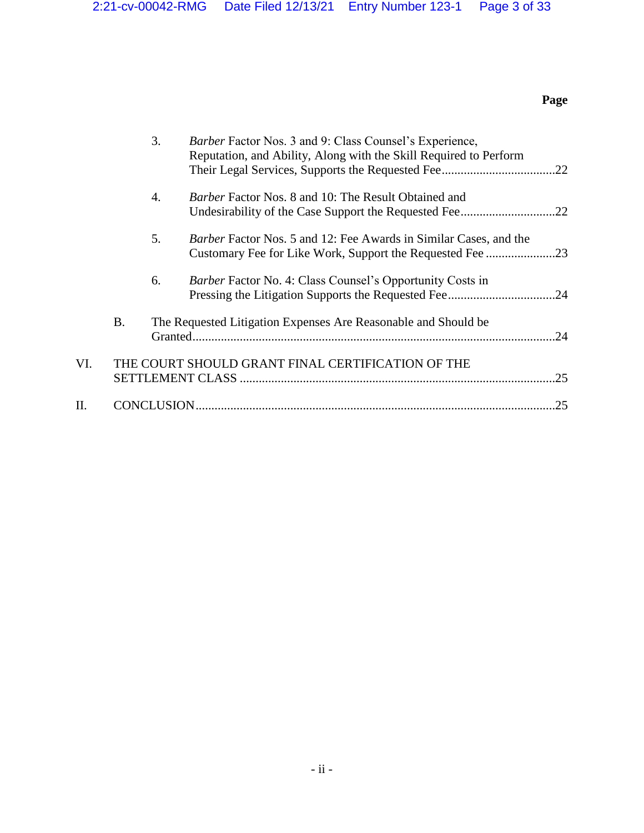# **Page**

|     |           | 3. | Barber Factor Nos. 3 and 9: Class Counsel's Experience,<br>Reputation, and Ability, Along with the Skill Required to Perform          |     |
|-----|-----------|----|---------------------------------------------------------------------------------------------------------------------------------------|-----|
|     |           | 4. | <i>Barber</i> Factor Nos. 8 and 10: The Result Obtained and                                                                           |     |
|     |           | 5. | <i>Barber</i> Factor Nos. 5 and 12: Fee Awards in Similar Cases, and the<br>Customary Fee for Like Work, Support the Requested Fee 23 |     |
|     |           | 6. | <i>Barber</i> Factor No. 4: Class Counsel's Opportunity Costs in                                                                      |     |
|     | <b>B.</b> |    | The Requested Litigation Expenses Are Reasonable and Should be                                                                        | .24 |
| VI. |           |    | THE COURT SHOULD GRANT FINAL CERTIFICATION OF THE                                                                                     | .25 |
| П.  |           |    |                                                                                                                                       | .25 |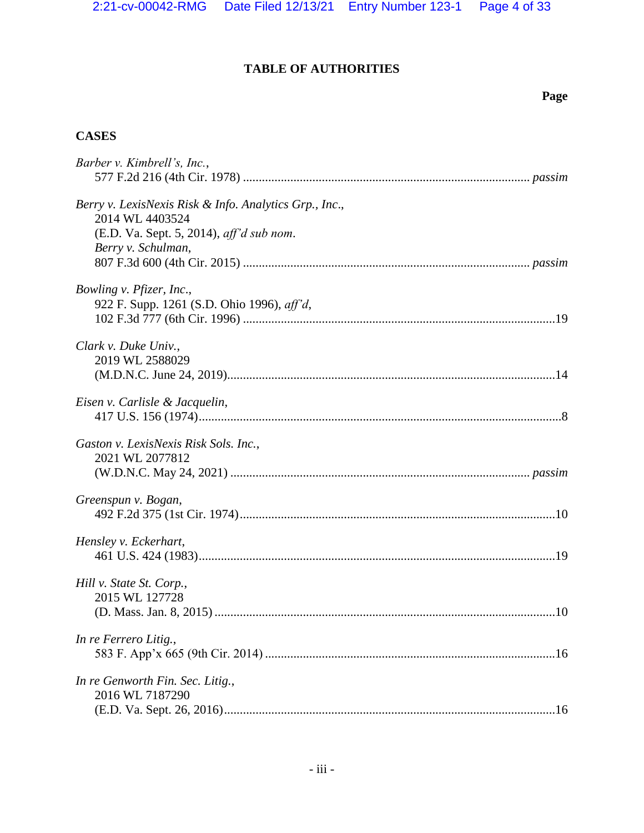# **TABLE OF AUTHORITIES**

# **Page**

# **CASES**

| Barber v. Kimbrell's, Inc.,                                                                                                                 |
|---------------------------------------------------------------------------------------------------------------------------------------------|
| Berry v. LexisNexis Risk & Info. Analytics Grp., Inc.,<br>2014 WL 4403524<br>(E.D. Va. Sept. 5, 2014), aff'd sub nom.<br>Berry v. Schulman, |
| Bowling v. Pfizer, Inc.,<br>922 F. Supp. 1261 (S.D. Ohio 1996), aff'd,                                                                      |
| Clark v. Duke Univ.,<br>2019 WL 2588029                                                                                                     |
| Eisen v. Carlisle & Jacquelin,                                                                                                              |
| Gaston v. LexisNexis Risk Sols. Inc.,<br>2021 WL 2077812                                                                                    |
| Greenspun v. Bogan,                                                                                                                         |
| Hensley v. Eckerhart,                                                                                                                       |
| Hill v. State St. Corp.,<br>2015 WL 127728                                                                                                  |
| In re Ferrero Litig.,                                                                                                                       |
| In re Genworth Fin. Sec. Litig.,<br>2016 WL 7187290                                                                                         |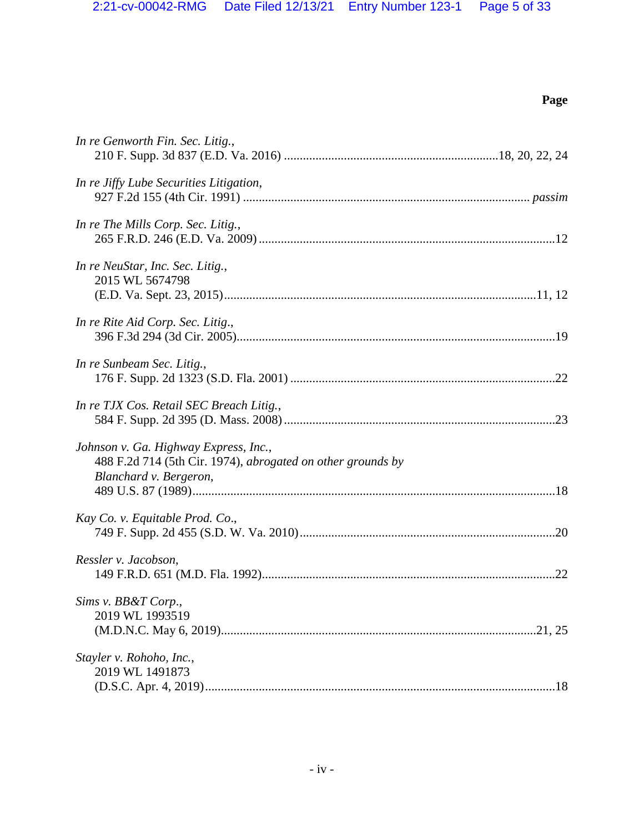# **Page**

| In re Genworth Fin. Sec. Litig.,                                                                                               |
|--------------------------------------------------------------------------------------------------------------------------------|
| In re Jiffy Lube Securities Litigation,                                                                                        |
| In re The Mills Corp. Sec. Litig.,                                                                                             |
| In re NeuStar, Inc. Sec. Litig.,<br>2015 WL 5674798                                                                            |
| In re Rite Aid Corp. Sec. Litig.,                                                                                              |
| In re Sunbeam Sec. Litig.,                                                                                                     |
| In re TJX Cos. Retail SEC Breach Litig.,                                                                                       |
| Johnson v. Ga. Highway Express, Inc.,<br>488 F.2d 714 (5th Cir. 1974), abrogated on other grounds by<br>Blanchard v. Bergeron, |
| Kay Co. v. Equitable Prod. Co.,                                                                                                |
| Ressler v. Jacobson,                                                                                                           |
| Sims v. BB&T Corp.,<br>2019 WL 1993519                                                                                         |
| Stayler v. Rohoho, Inc.,<br>2019 WL 1491873                                                                                    |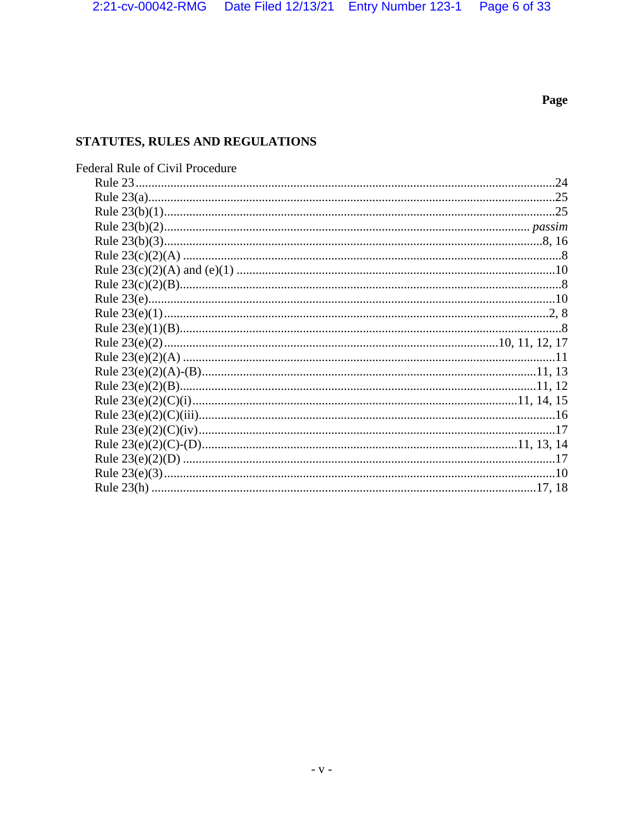## Page

# STATUTES, RULES AND REGULATIONS

| <b>Federal Rule of Civil Procedure</b> |  |
|----------------------------------------|--|
|                                        |  |
|                                        |  |
|                                        |  |
|                                        |  |
|                                        |  |
|                                        |  |
|                                        |  |
|                                        |  |
|                                        |  |
|                                        |  |
|                                        |  |
|                                        |  |
|                                        |  |
|                                        |  |
|                                        |  |
|                                        |  |
|                                        |  |
|                                        |  |
|                                        |  |
|                                        |  |
|                                        |  |
|                                        |  |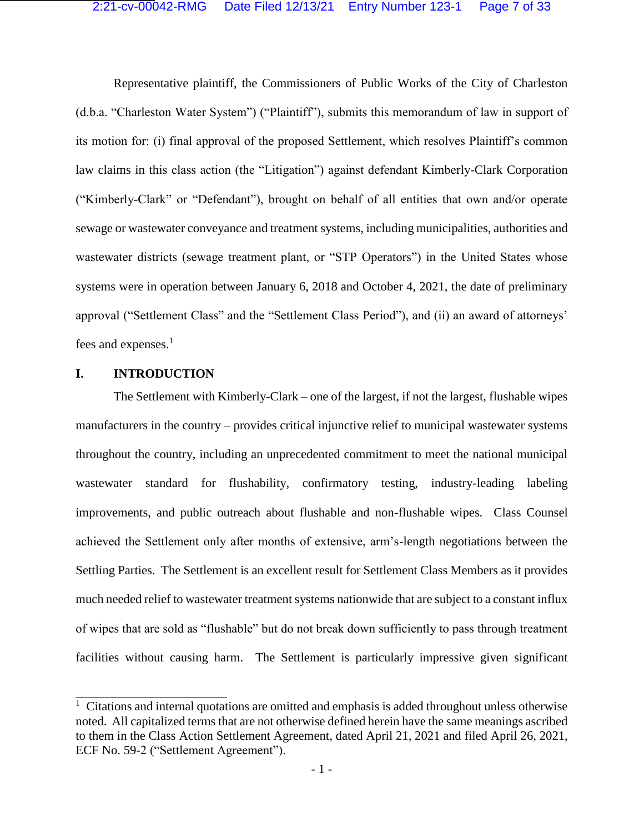Representative plaintiff, the Commissioners of Public Works of the City of Charleston (d.b.a. "Charleston Water System") ("Plaintiff"), submits this memorandum of law in support of its motion for: (i) final approval of the proposed Settlement, which resolves Plaintiff's common law claims in this class action (the "Litigation") against defendant Kimberly-Clark Corporation ("Kimberly-Clark" or "Defendant"), brought on behalf of all entities that own and/or operate sewage or wastewater conveyance and treatment systems, including municipalities, authorities and wastewater districts (sewage treatment plant, or "STP Operators") in the United States whose systems were in operation between January 6, 2018 and October 4, 2021, the date of preliminary approval ("Settlement Class" and the "Settlement Class Period"), and (ii) an award of attorneys' fees and expenses.<sup>1</sup>

#### **I. INTRODUCTION**

The Settlement with Kimberly-Clark – one of the largest, if not the largest, flushable wipes manufacturers in the country – provides critical injunctive relief to municipal wastewater systems throughout the country, including an unprecedented commitment to meet the national municipal wastewater standard for flushability, confirmatory testing, industry-leading labeling improvements, and public outreach about flushable and non-flushable wipes. Class Counsel achieved the Settlement only after months of extensive, arm's-length negotiations between the Settling Parties. The Settlement is an excellent result for Settlement Class Members as it provides much needed relief to wastewater treatment systems nationwide that are subject to a constant influx of wipes that are sold as "flushable" but do not break down sufficiently to pass through treatment facilities without causing harm. The Settlement is particularly impressive given significant

<sup>&</sup>lt;sup>1</sup> Citations and internal quotations are omitted and emphasis is added throughout unless otherwise noted. All capitalized terms that are not otherwise defined herein have the same meanings ascribed to them in the Class Action Settlement Agreement, dated April 21, 2021 and filed April 26, 2021, ECF No. 59-2 ("Settlement Agreement").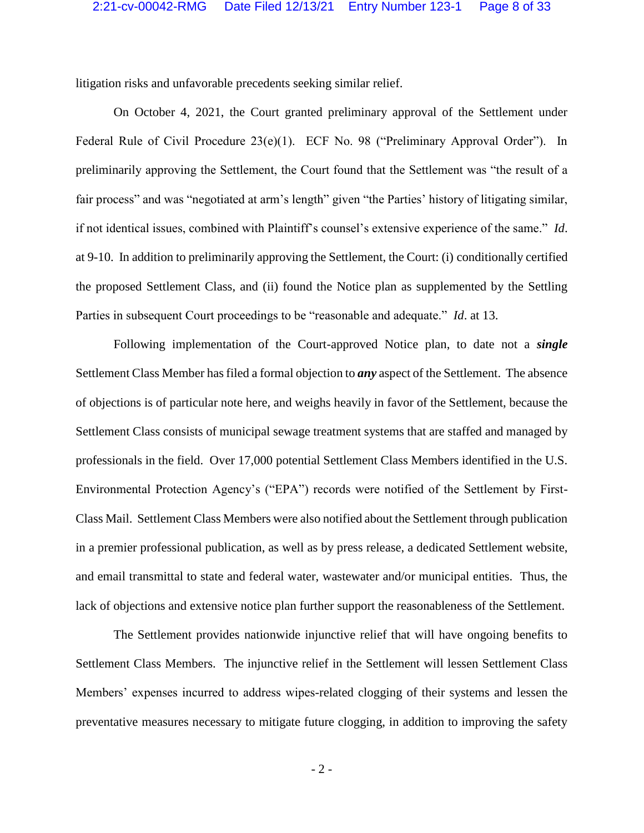litigation risks and unfavorable precedents seeking similar relief.

<span id="page-7-0"></span>On October 4, 2021, the Court granted preliminary approval of the Settlement under Federal Rule of Civil Procedure 23(e)(1). ECF No. 98 ("Preliminary Approval Order"). In preliminarily approving the Settlement, the Court found that the Settlement was "the result of a fair process" and was "negotiated at arm's length" given "the Parties' history of litigating similar, if not identical issues, combined with Plaintiff's counsel's extensive experience of the same." *Id*. at 9-10. In addition to preliminarily approving the Settlement, the Court: (i) conditionally certified the proposed Settlement Class, and (ii) found the Notice plan as supplemented by the Settling Parties in subsequent Court proceedings to be "reasonable and adequate." *Id*. at 13.

Following implementation of the Court-approved Notice plan, to date not a *single* Settlement Class Member has filed a formal objection to *any* aspect of the Settlement. The absence of objections is of particular note here, and weighs heavily in favor of the Settlement, because the Settlement Class consists of municipal sewage treatment systems that are staffed and managed by professionals in the field. Over 17,000 potential Settlement Class Members identified in the U.S. Environmental Protection Agency's ("EPA") records were notified of the Settlement by First-Class Mail. Settlement Class Members were also notified about the Settlement through publication in a premier professional publication, as well as by press release, a dedicated Settlement website, and email transmittal to state and federal water, wastewater and/or municipal entities. Thus, the lack of objections and extensive notice plan further support the reasonableness of the Settlement.

The Settlement provides nationwide injunctive relief that will have ongoing benefits to Settlement Class Members. The injunctive relief in the Settlement will lessen Settlement Class Members' expenses incurred to address wipes-related clogging of their systems and lessen the preventative measures necessary to mitigate future clogging, in addition to improving the safety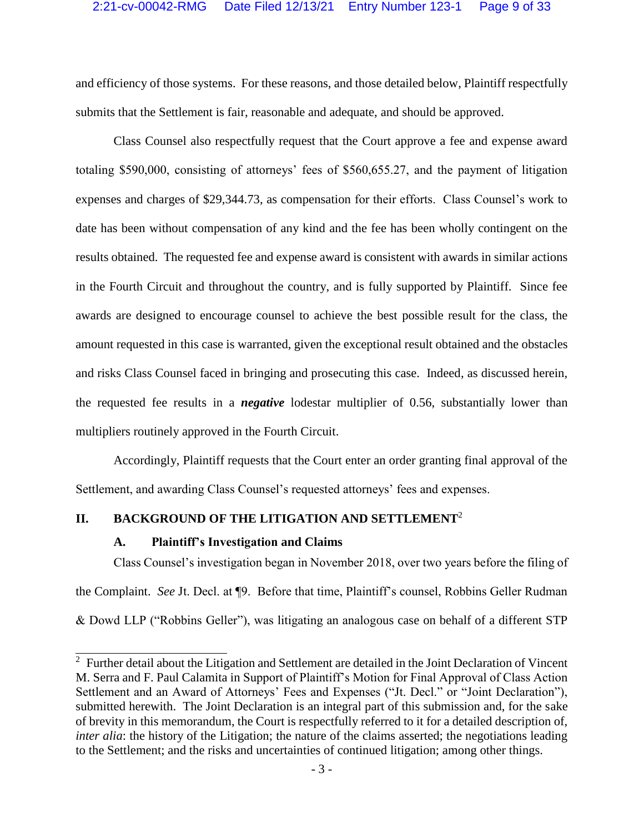and efficiency of those systems. For these reasons, and those detailed below, Plaintiff respectfully submits that the Settlement is fair, reasonable and adequate, and should be approved.

Class Counsel also respectfully request that the Court approve a fee and expense award totaling \$590,000, consisting of attorneys' fees of \$560,655.27, and the payment of litigation expenses and charges of \$29,344.73, as compensation for their efforts. Class Counsel's work to date has been without compensation of any kind and the fee has been wholly contingent on the results obtained. The requested fee and expense award is consistent with awards in similar actions in the Fourth Circuit and throughout the country, and is fully supported by Plaintiff. Since fee awards are designed to encourage counsel to achieve the best possible result for the class, the amount requested in this case is warranted, given the exceptional result obtained and the obstacles and risks Class Counsel faced in bringing and prosecuting this case. Indeed, as discussed herein, the requested fee results in a *negative* lodestar multiplier of 0.56, substantially lower than multipliers routinely approved in the Fourth Circuit.

Accordingly, Plaintiff requests that the Court enter an order granting final approval of the Settlement, and awarding Class Counsel's requested attorneys' fees and expenses.

## **II. BACKGROUND OF THE LITIGATION AND SETTLEMENT**<sup>2</sup>

#### **A. Plaintiff's Investigation and Claims**

 $\overline{\phantom{a}}$ 

Class Counsel's investigation began in November 2018, over two years before the filing of the Complaint. *See* Jt. Decl. at ¶9. Before that time, Plaintiff's counsel, Robbins Geller Rudman & Dowd LLP ("Robbins Geller"), was litigating an analogous case on behalf of a different STP

 $2$  Further detail about the Litigation and Settlement are detailed in the Joint Declaration of Vincent M. Serra and F. Paul Calamita in Support of Plaintiff's Motion for Final Approval of Class Action Settlement and an Award of Attorneys' Fees and Expenses ("Jt. Decl." or "Joint Declaration"), submitted herewith. The Joint Declaration is an integral part of this submission and, for the sake of brevity in this memorandum, the Court is respectfully referred to it for a detailed description of, *inter alia*: the history of the Litigation; the nature of the claims asserted; the negotiations leading to the Settlement; and the risks and uncertainties of continued litigation; among other things.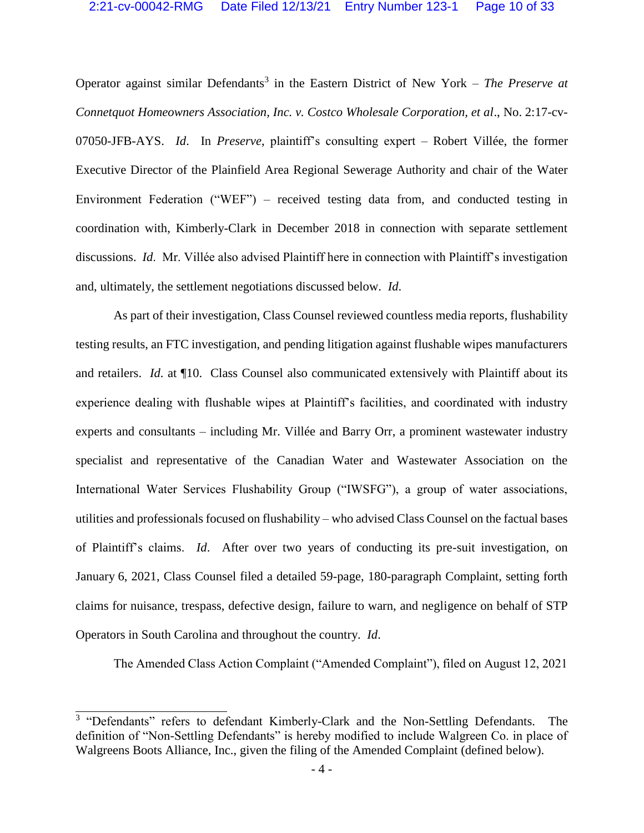Operator against similar Defendants<sup>3</sup> in the Eastern District of New York – *The Preserve at Connetquot Homeowners Association, Inc. v. Costco Wholesale Corporation, et al*., No. 2:17-cv-07050-JFB-AYS. *Id*. In *Preserve*, plaintiff's consulting expert – Robert Villée, the former Executive Director of the Plainfield Area Regional Sewerage Authority and chair of the Water Environment Federation ("WEF") – received testing data from, and conducted testing in coordination with, Kimberly-Clark in December 2018 in connection with separate settlement discussions. *Id*. Mr. Villée also advised Plaintiff here in connection with Plaintiff's investigation and, ultimately, the settlement negotiations discussed below. *Id*.

As part of their investigation, Class Counsel reviewed countless media reports, flushability testing results, an FTC investigation, and pending litigation against flushable wipes manufacturers and retailers. *Id*. at ¶10. Class Counsel also communicated extensively with Plaintiff about its experience dealing with flushable wipes at Plaintiff's facilities, and coordinated with industry experts and consultants – including Mr. Villée and Barry Orr, a prominent wastewater industry specialist and representative of the Canadian Water and Wastewater Association on the International Water Services Flushability Group ("IWSFG"), a group of water associations, utilities and professionals focused on flushability – who advised Class Counsel on the factual bases of Plaintiff's claims. *Id*. After over two years of conducting its pre-suit investigation, on January 6, 2021, Class Counsel filed a detailed 59-page, 180-paragraph Complaint, setting forth claims for nuisance, trespass, defective design, failure to warn, and negligence on behalf of STP Operators in South Carolina and throughout the country. *Id*.

The Amended Class Action Complaint ("Amended Complaint"), filed on August 12, 2021

 $\overline{\phantom{a}}$ 

<sup>&</sup>lt;sup>3</sup> "Defendants" refers to defendant Kimberly-Clark and the Non-Settling Defendants. The definition of "Non-Settling Defendants" is hereby modified to include Walgreen Co. in place of Walgreens Boots Alliance, Inc., given the filing of the Amended Complaint (defined below).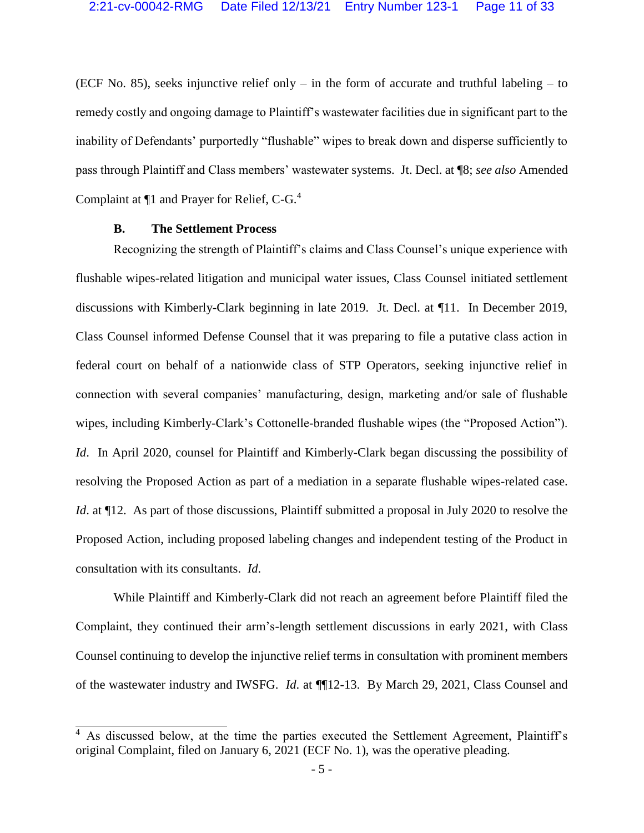(ECF No. 85), seeks injunctive relief only – in the form of accurate and truthful labeling – to remedy costly and ongoing damage to Plaintiff's wastewater facilities due in significant part to the inability of Defendants' purportedly "flushable" wipes to break down and disperse sufficiently to pass through Plaintiff and Class members' wastewater systems. Jt. Decl. at ¶8; *see also* Amended Complaint at  $\P$ 1 and Prayer for Relief, C-G.<sup>4</sup>

#### **B. The Settlement Process**

Recognizing the strength of Plaintiff's claims and Class Counsel's unique experience with flushable wipes-related litigation and municipal water issues, Class Counsel initiated settlement discussions with Kimberly-Clark beginning in late 2019. Jt. Decl. at ¶11. In December 2019, Class Counsel informed Defense Counsel that it was preparing to file a putative class action in federal court on behalf of a nationwide class of STP Operators, seeking injunctive relief in connection with several companies' manufacturing, design, marketing and/or sale of flushable wipes, including Kimberly-Clark's Cottonelle-branded flushable wipes (the "Proposed Action"). *Id*. In April 2020, counsel for Plaintiff and Kimberly-Clark began discussing the possibility of resolving the Proposed Action as part of a mediation in a separate flushable wipes-related case. *Id.* at  $\P$ 12. As part of those discussions, Plaintiff submitted a proposal in July 2020 to resolve the Proposed Action, including proposed labeling changes and independent testing of the Product in consultation with its consultants. *Id*.

While Plaintiff and Kimberly-Clark did not reach an agreement before Plaintiff filed the Complaint, they continued their arm's-length settlement discussions in early 2021, with Class Counsel continuing to develop the injunctive relief terms in consultation with prominent members of the wastewater industry and IWSFG. *Id*. at ¶¶12-13. By March 29, 2021, Class Counsel and

<sup>&</sup>lt;sup>4</sup> As discussed below, at the time the parties executed the Settlement Agreement, Plaintiff's original Complaint, filed on January 6, 2021 (ECF No. 1), was the operative pleading.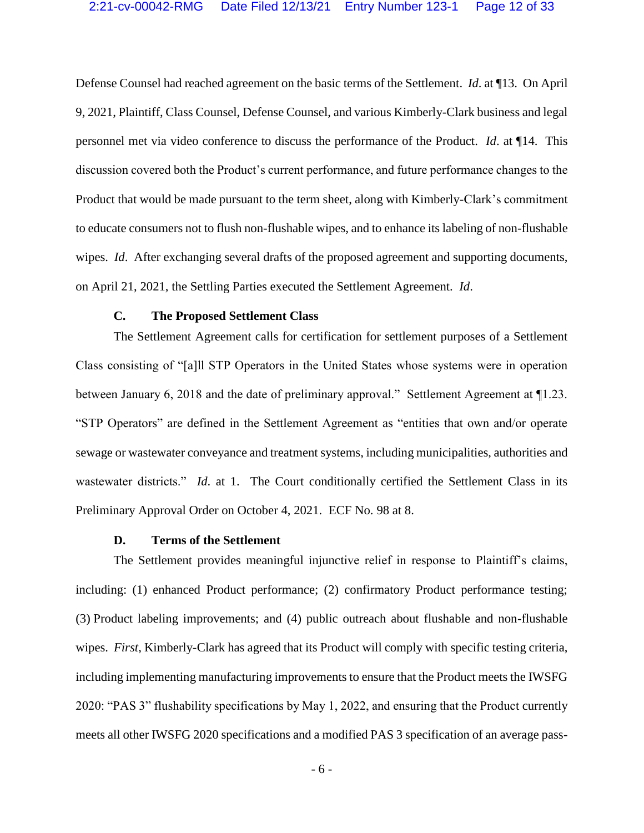Defense Counsel had reached agreement on the basic terms of the Settlement. *Id*. at ¶13. On April 9, 2021, Plaintiff, Class Counsel, Defense Counsel, and various Kimberly-Clark business and legal personnel met via video conference to discuss the performance of the Product. *Id*. at ¶14. This discussion covered both the Product's current performance, and future performance changes to the Product that would be made pursuant to the term sheet, along with Kimberly-Clark's commitment to educate consumers not to flush non-flushable wipes, and to enhance its labeling of non-flushable wipes. *Id*. After exchanging several drafts of the proposed agreement and supporting documents, on April 21, 2021, the Settling Parties executed the Settlement Agreement. *Id*.

#### **C. The Proposed Settlement Class**

The Settlement Agreement calls for certification for settlement purposes of a Settlement Class consisting of "[a]ll STP Operators in the United States whose systems were in operation between January 6, 2018 and the date of preliminary approval." Settlement Agreement at 11.23. "STP Operators" are defined in the Settlement Agreement as "entities that own and/or operate sewage or wastewater conveyance and treatment systems, including municipalities, authorities and wastewater districts." *Id.* at 1. The Court conditionally certified the Settlement Class in its Preliminary Approval Order on October 4, 2021. ECF No. 98 at 8.

#### **D. Terms of the Settlement**

The Settlement provides meaningful injunctive relief in response to Plaintiff's claims, including: (1) enhanced Product performance; (2) confirmatory Product performance testing; (3) Product labeling improvements; and (4) public outreach about flushable and non-flushable wipes. *First*, Kimberly-Clark has agreed that its Product will comply with specific testing criteria, including implementing manufacturing improvements to ensure that the Product meets the IWSFG 2020: "PAS 3" flushability specifications by May 1, 2022, and ensuring that the Product currently meets all other IWSFG 2020 specifications and a modified PAS 3 specification of an average pass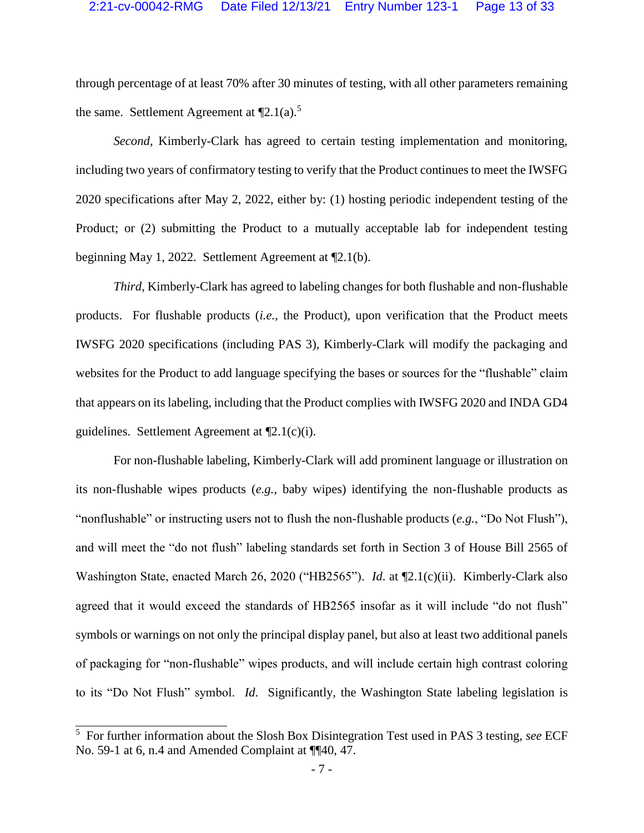through percentage of at least 70% after 30 minutes of testing, with all other parameters remaining the same. Settlement Agreement at  $\P$ 2.1(a).<sup>5</sup>

*Second*, Kimberly-Clark has agreed to certain testing implementation and monitoring, including two years of confirmatory testing to verify that the Product continues to meet the IWSFG 2020 specifications after May 2, 2022, either by: (1) hosting periodic independent testing of the Product; or (2) submitting the Product to a mutually acceptable lab for independent testing beginning May 1, 2022. Settlement Agreement at ¶2.1(b).

*Third*, Kimberly-Clark has agreed to labeling changes for both flushable and non-flushable products. For flushable products (*i.e.*, the Product), upon verification that the Product meets IWSFG 2020 specifications (including PAS 3), Kimberly-Clark will modify the packaging and websites for the Product to add language specifying the bases or sources for the "flushable" claim that appears on its labeling, including that the Product complies with IWSFG 2020 and INDA GD4 guidelines. Settlement Agreement at ¶2.1(c)(i).

For non-flushable labeling, Kimberly-Clark will add prominent language or illustration on its non-flushable wipes products (*e.g.*, baby wipes) identifying the non-flushable products as "nonflushable" or instructing users not to flush the non-flushable products (*e.g.*, "Do Not Flush"), and will meet the "do not flush" labeling standards set forth in Section 3 of House Bill 2565 of Washington State, enacted March 26, 2020 ("HB2565"). *Id*. at ¶2.1(c)(ii). Kimberly-Clark also agreed that it would exceed the standards of HB2565 insofar as it will include "do not flush" symbols or warnings on not only the principal display panel, but also at least two additional panels of packaging for "non-flushable" wipes products, and will include certain high contrast coloring to its "Do Not Flush" symbol. *Id*. Significantly, the Washington State labeling legislation is

 5 For further information about the Slosh Box Disintegration Test used in PAS 3 testing, *see* ECF No. 59-1 at 6, n.4 and Amended Complaint at ¶¶40, 47.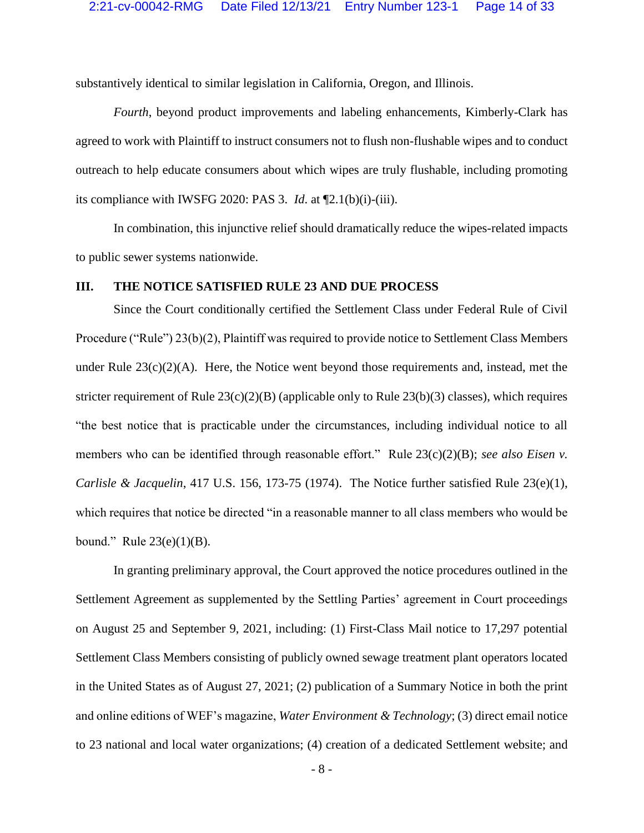substantively identical to similar legislation in California, Oregon, and Illinois.

*Fourth*, beyond product improvements and labeling enhancements, Kimberly-Clark has agreed to work with Plaintiff to instruct consumers not to flush non-flushable wipes and to conduct outreach to help educate consumers about which wipes are truly flushable, including promoting its compliance with IWSFG 2020: PAS 3. *Id*. at ¶2.1(b)(i)-(iii).

In combination, this injunctive relief should dramatically reduce the wipes-related impacts to public sewer systems nationwide.

#### **III. THE NOTICE SATISFIED RULE 23 AND DUE PROCESS**

<span id="page-13-3"></span><span id="page-13-2"></span><span id="page-13-1"></span>Since the Court conditionally certified the Settlement Class under Federal Rule of Civil Procedure ("Rule") 23(b)(2), Plaintiff was required to provide notice to Settlement Class Members under Rule  $23(c)(2)(A)$ . Here, the Notice went beyond those requirements and, instead, met the stricter requirement of Rule  $23(c)(2)(B)$  (applicable only to Rule  $23(b)(3)$  classes), which requires "the best notice that is practicable under the circumstances, including individual notice to all members who can be identified through reasonable effort." Rule 23(c)(2)(B); *see also Eisen v*. *Carlisle & Jacquelin*, 417 U.S. 156, 173-75 (1974). The Notice further satisfied Rule 23(e)(1), which requires that notice be directed "in a reasonable manner to all class members who would be bound." Rule  $23(e)(1)(B)$ .

<span id="page-13-5"></span><span id="page-13-4"></span><span id="page-13-0"></span>In granting preliminary approval, the Court approved the notice procedures outlined in the Settlement Agreement as supplemented by the Settling Parties' agreement in Court proceedings on August 25 and September 9, 2021, including: (1) First-Class Mail notice to 17,297 potential Settlement Class Members consisting of publicly owned sewage treatment plant operators located in the United States as of August 27, 2021; (2) publication of a Summary Notice in both the print and online editions of WEF's magazine, *Water Environment & Technology*; (3) direct email notice to 23 national and local water organizations; (4) creation of a dedicated Settlement website; and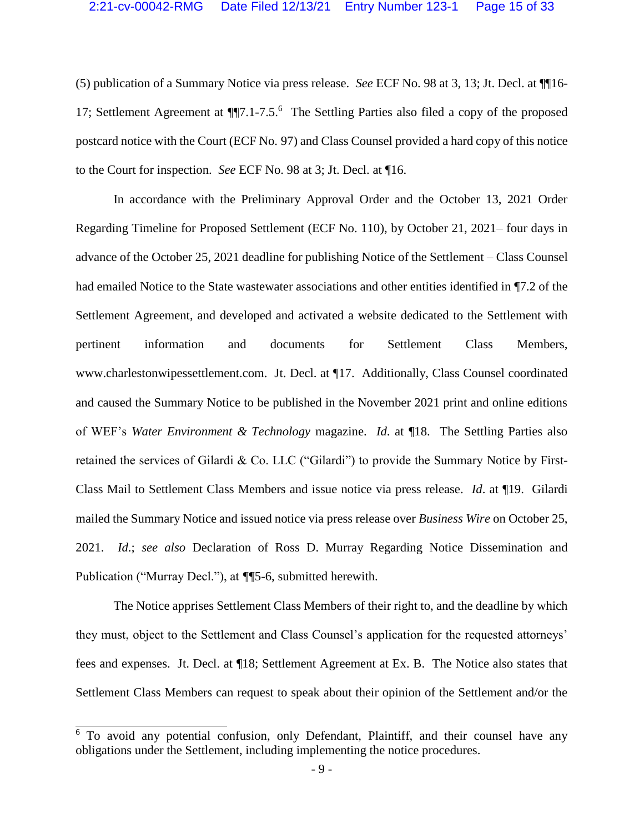(5) publication of a Summary Notice via press release. *See* ECF No. 98 at 3, 13; Jt. Decl. at ¶¶16- 17; Settlement Agreement at ¶¶7.1-7.5. 6 The Settling Parties also filed a copy of the proposed postcard notice with the Court (ECF No. 97) and Class Counsel provided a hard copy of this notice to the Court for inspection. *See* ECF No. 98 at 3; Jt. Decl. at ¶16.

In accordance with the Preliminary Approval Order and the October 13, 2021 Order Regarding Timeline for Proposed Settlement (ECF No. 110), by October 21, 2021– four days in advance of the October 25, 2021 deadline for publishing Notice of the Settlement – Class Counsel had emailed Notice to the State wastewater associations and other entities identified in ¶7.2 of the Settlement Agreement, and developed and activated a website dedicated to the Settlement with pertinent information and documents for Settlement Class Members, www.charlestonwipessettlement.com. Jt. Decl. at ¶17. Additionally, Class Counsel coordinated and caused the Summary Notice to be published in the November 2021 print and online editions of WEF's *Water Environment & Technology* magazine. *Id*. at ¶18. The Settling Parties also retained the services of Gilardi & Co. LLC ("Gilardi") to provide the Summary Notice by First-Class Mail to Settlement Class Members and issue notice via press release. *Id*. at ¶19. Gilardi mailed the Summary Notice and issued notice via press release over *Business Wire* on October 25, 2021. *Id*.; *see also* Declaration of Ross D. Murray Regarding Notice Dissemination and Publication ("Murray Decl."), at *¶*¶5-6, submitted herewith.

The Notice apprises Settlement Class Members of their right to, and the deadline by which they must, object to the Settlement and Class Counsel's application for the requested attorneys' fees and expenses. Jt. Decl. at ¶18; Settlement Agreement at Ex. B. The Notice also states that Settlement Class Members can request to speak about their opinion of the Settlement and/or the

 $\overline{\phantom{a}}$ 

<sup>&</sup>lt;sup>6</sup> To avoid any potential confusion, only Defendant, Plaintiff, and their counsel have any obligations under the Settlement, including implementing the notice procedures.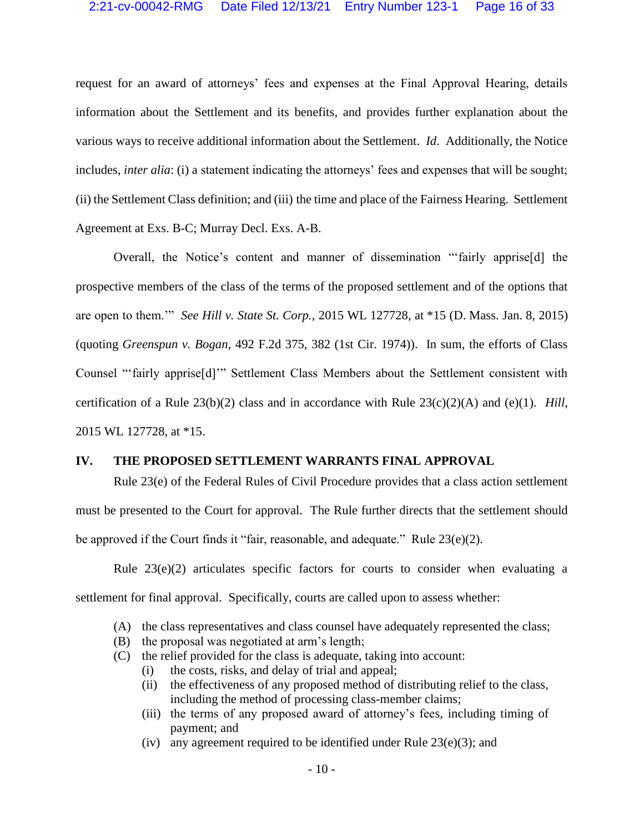request for an award of attorneys' fees and expenses at the Final Approval Hearing, details information about the Settlement and its benefits, and provides further explanation about the various ways to receive additional information about the Settlement. *Id*. Additionally, the Notice includes, *inter alia*: (i) a statement indicating the attorneys' fees and expenses that will be sought; (ii) the Settlement Class definition; and (iii) the time and place of the Fairness Hearing. Settlement Agreement at Exs. B-C; Murray Decl. Exs. A-B.

<span id="page-15-1"></span><span id="page-15-0"></span>Overall, the Notice's content and manner of dissemination "'fairly apprise[d] the prospective members of the class of the terms of the proposed settlement and of the options that are open to them.'" *See Hill v. State St. Corp.*, 2015 WL 127728, at \*15 (D. Mass. Jan. 8, 2015) (quoting *Greenspun v. Bogan*, 492 F.2d 375, 382 (1st Cir. 1974)). In sum, the efforts of Class Counsel "'fairly apprise[d]'" Settlement Class Members about the Settlement consistent with certification of a Rule 23(b)(2) class and in accordance with Rule 23(c)(2)(A) and (e)(1). *Hill*, 2015 WL 127728, at \*15.

#### <span id="page-15-3"></span><span id="page-15-2"></span>**IV. THE PROPOSED SETTLEMENT WARRANTS FINAL APPROVAL**

<span id="page-15-4"></span>Rule 23(e) of the Federal Rules of Civil Procedure provides that a class action settlement must be presented to the Court for approval. The Rule further directs that the settlement should be approved if the Court finds it "fair, reasonable, and adequate." Rule 23(e)(2).

Rule  $23(e)(2)$  articulates specific factors for courts to consider when evaluating a settlement for final approval. Specifically, courts are called upon to assess whether:

- <span id="page-15-5"></span>(A) the class representatives and class counsel have adequately represented the class;
- (B) the proposal was negotiated at arm's length;
- <span id="page-15-6"></span>(C) the relief provided for the class is adequate, taking into account:
	- (i) the costs, risks, and delay of trial and appeal;
	- (ii) the effectiveness of any proposed method of distributing relief to the class, including the method of processing class-member claims;
	- (iii) the terms of any proposed award of attorney's fees, including timing of payment; and
	- (iv) any agreement required to be identified under Rule  $23(e)(3)$ ; and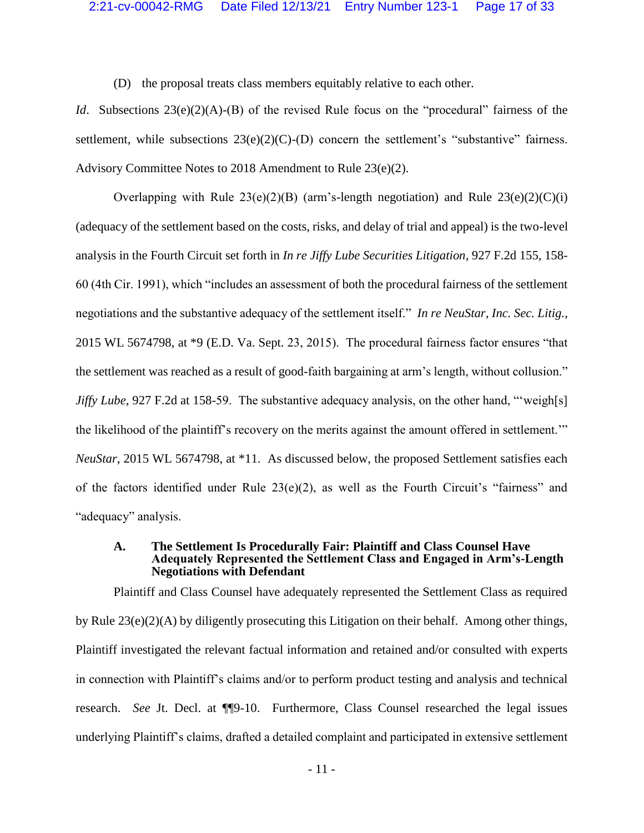<span id="page-16-7"></span><span id="page-16-6"></span><span id="page-16-4"></span><span id="page-16-2"></span>(D) the proposal treats class members equitably relative to each other.

*Id.* Subsections 23(e)(2)(A)-(B) of the revised Rule focus on the "procedural" fairness of the settlement, while subsections  $23(e)(2)(C)$ -(D) concern the settlement's "substantive" fairness. Advisory Committee Notes to 2018 Amendment to Rule 23(e)(2).

<span id="page-16-5"></span><span id="page-16-1"></span><span id="page-16-0"></span>Overlapping with Rule  $23(e)(2)(B)$  (arm's-length negotiation) and Rule  $23(e)(2)(C)(i)$ (adequacy of the settlement based on the costs, risks, and delay of trial and appeal) is the two-level analysis in the Fourth Circuit set forth in *In re Jiffy Lube Securities Litigation*, 927 F.2d 155, 158- 60 (4th Cir. 1991), which "includes an assessment of both the procedural fairness of the settlement negotiations and the substantive adequacy of the settlement itself." *In re NeuStar, Inc. Sec. Litig.*, 2015 WL 5674798, at \*9 (E.D. Va. Sept. 23, 2015). The procedural fairness factor ensures "that the settlement was reached as a result of good-faith bargaining at arm's length, without collusion." *Jiffy Lube*, 927 F.2d at 158-59. The substantive adequacy analysis, on the other hand, "weigh[s] the likelihood of the plaintiff's recovery on the merits against the amount offered in settlement.'" *NeuStar*, 2015 WL 5674798, at \*11. As discussed below, the proposed Settlement satisfies each of the factors identified under Rule 23(e)(2), as well as the Fourth Circuit's "fairness" and "adequacy" analysis.

#### **A. The Settlement Is Procedurally Fair: Plaintiff and Class Counsel Have Adequately Represented the Settlement Class and Engaged in Arm's-Length Negotiations with Defendant**

<span id="page-16-3"></span>Plaintiff and Class Counsel have adequately represented the Settlement Class as required by Rule 23(e)(2)(A) by diligently prosecuting this Litigation on their behalf. Among other things, Plaintiff investigated the relevant factual information and retained and/or consulted with experts in connection with Plaintiff's claims and/or to perform product testing and analysis and technical research. *See* Jt. Decl. at ¶¶9-10. Furthermore, Class Counsel researched the legal issues underlying Plaintiff's claims, drafted a detailed complaint and participated in extensive settlement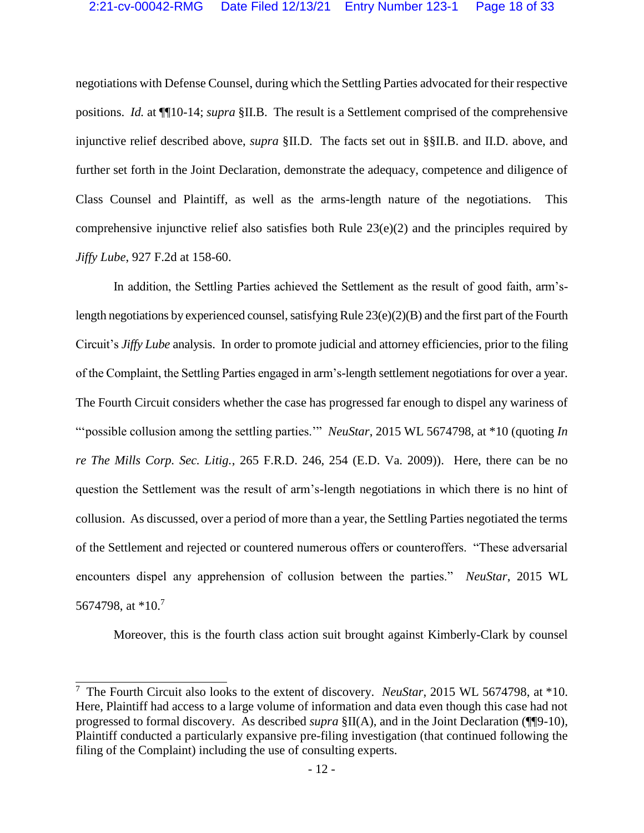negotiations with Defense Counsel, during which the Settling Parties advocated for their respective positions. *Id.* at ¶¶10-14; *supra* §II.B. The result is a Settlement comprised of the comprehensive injunctive relief described above, *supra* §II.D. The facts set out in §§II.B. and II.D. above, and further set forth in the Joint Declaration, demonstrate the adequacy, competence and diligence of Class Counsel and Plaintiff, as well as the arms-length nature of the negotiations. This comprehensive injunctive relief also satisfies both Rule 23(e)(2) and the principles required by *Jiffy Lube*, 927 F.2d at 158-60.

<span id="page-17-3"></span><span id="page-17-2"></span><span id="page-17-1"></span>In addition, the Settling Parties achieved the Settlement as the result of good faith, arm'slength negotiations by experienced counsel, satisfying Rule 23(e)(2)(B) and the first part of the Fourth Circuit's *Jiffy Lube* analysis. In order to promote judicial and attorney efficiencies, prior to the filing of the Complaint, the Settling Parties engaged in arm's-length settlement negotiations for over a year. The Fourth Circuit considers whether the case has progressed far enough to dispel any wariness of "'possible collusion among the settling parties.'" *NeuStar*, 2015 WL 5674798, at \*10 (quoting *In re The Mills Corp. Sec. Litig.*, 265 F.R.D. 246, 254 (E.D. Va. 2009)). Here, there can be no question the Settlement was the result of arm's-length negotiations in which there is no hint of collusion. As discussed, over a period of more than a year, the Settling Parties negotiated the terms of the Settlement and rejected or countered numerous offers or counteroffers. "These adversarial encounters dispel any apprehension of collusion between the parties." *NeuStar*, 2015 WL 5674798, at \*10.<sup>7</sup>

<span id="page-17-0"></span>Moreover, this is the fourth class action suit brought against Kimberly-Clark by counsel

 7 The Fourth Circuit also looks to the extent of discovery. *NeuStar*, 2015 WL 5674798, at \*10. Here, Plaintiff had access to a large volume of information and data even though this case had not progressed to formal discovery. As described *supra* §II(A), and in the Joint Declaration (¶¶9-10), Plaintiff conducted a particularly expansive pre-filing investigation (that continued following the filing of the Complaint) including the use of consulting experts.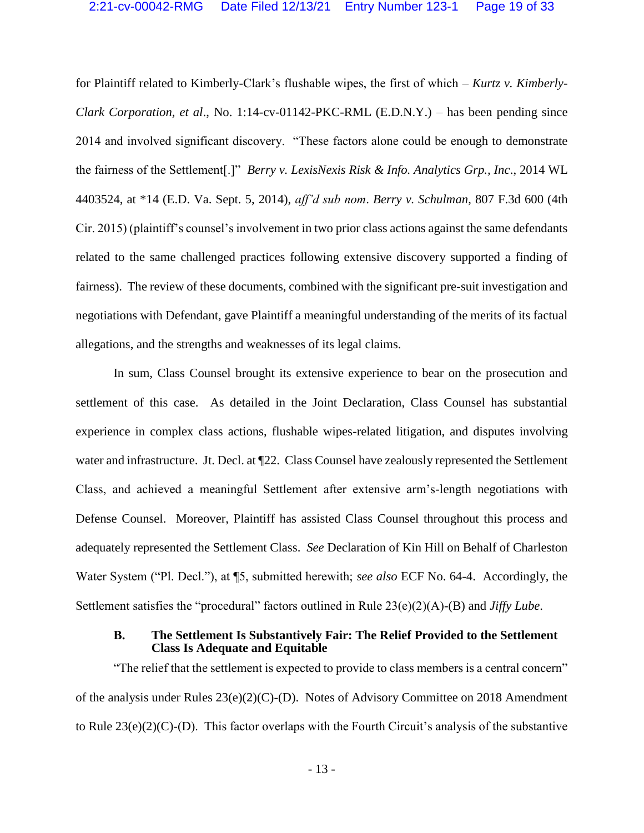<span id="page-18-0"></span>for Plaintiff related to Kimberly-Clark's flushable wipes, the first of which – *Kurtz v. Kimberly-Clark Corporation, et al*., No. 1:14-cv-01142-PKC-RML (E.D.N.Y.) – has been pending since 2014 and involved significant discovery. "These factors alone could be enough to demonstrate the fairness of the Settlement[.]" *Berry v. LexisNexis Risk & Info. Analytics Grp., Inc*., 2014 WL 4403524, at \*14 (E.D. Va. Sept. 5, 2014), *aff'd sub nom*. *Berry v. Schulman*, 807 F.3d 600 (4th Cir. 2015) (plaintiff's counsel's involvement in two prior class actions against the same defendants related to the same challenged practices following extensive discovery supported a finding of fairness). The review of these documents, combined with the significant pre-suit investigation and negotiations with Defendant, gave Plaintiff a meaningful understanding of the merits of its factual allegations, and the strengths and weaknesses of its legal claims.

In sum, Class Counsel brought its extensive experience to bear on the prosecution and settlement of this case. As detailed in the Joint Declaration, Class Counsel has substantial experience in complex class actions, flushable wipes-related litigation, and disputes involving water and infrastructure. Jt. Decl. at  $\mathbb{I}22$ . Class Counsel have zealously represented the Settlement Class, and achieved a meaningful Settlement after extensive arm's-length negotiations with Defense Counsel. Moreover, Plaintiff has assisted Class Counsel throughout this process and adequately represented the Settlement Class. *See* Declaration of Kin Hill on Behalf of Charleston Water System ("Pl. Decl."), at ¶5, submitted herewith; *see also* ECF No. 64-4. Accordingly, the Settlement satisfies the "procedural" factors outlined in Rule 23(e)(2)(A)-(B) and *Jiffy Lube*.

#### **B. The Settlement Is Substantively Fair: The Relief Provided to the Settlement Class Is Adequate and Equitable**

"The relief that the settlement is expected to provide to class members is a central concern" of the analysis under Rules 23(e)(2)(C)-(D). Notes of Advisory Committee on 2018 Amendment to Rule 23(e)(2)(C)-(D). This factor overlaps with the Fourth Circuit's analysis of the substantive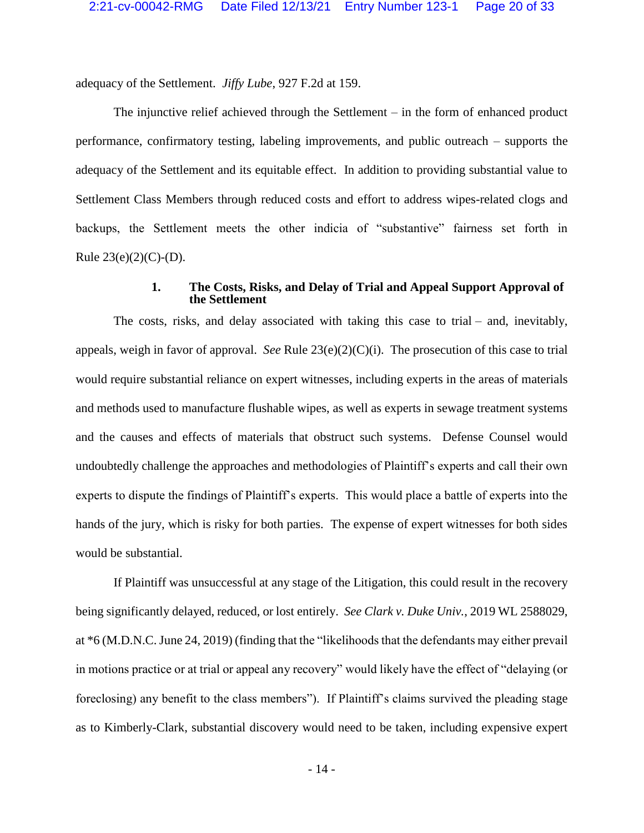adequacy of the Settlement. *Jiffy Lube*, 927 F.2d at 159.

The injunctive relief achieved through the Settlement – in the form of enhanced product performance, confirmatory testing, labeling improvements, and public outreach – supports the adequacy of the Settlement and its equitable effect. In addition to providing substantial value to Settlement Class Members through reduced costs and effort to address wipes-related clogs and backups, the Settlement meets the other indicia of "substantive" fairness set forth in Rule  $23(e)(2)(C)-(D)$ .

#### <span id="page-19-1"></span>**1. The Costs, Risks, and Delay of Trial and Appeal Support Approval of the Settlement**

The costs, risks, and delay associated with taking this case to trial – and, inevitably, appeals, weigh in favor of approval. *See* Rule 23(e)(2)(C)(i). The prosecution of this case to trial would require substantial reliance on expert witnesses, including experts in the areas of materials and methods used to manufacture flushable wipes, as well as experts in sewage treatment systems and the causes and effects of materials that obstruct such systems. Defense Counsel would undoubtedly challenge the approaches and methodologies of Plaintiff's experts and call their own experts to dispute the findings of Plaintiff's experts. This would place a battle of experts into the hands of the jury, which is risky for both parties. The expense of expert witnesses for both sides would be substantial.

<span id="page-19-0"></span>If Plaintiff was unsuccessful at any stage of the Litigation, this could result in the recovery being significantly delayed, reduced, or lost entirely. *See Clark v. Duke Univ.*, 2019 WL 2588029, at \*6 (M.D.N.C. June 24, 2019) (finding that the "likelihoods that the defendants may either prevail in motions practice or at trial or appeal any recovery" would likely have the effect of "delaying (or foreclosing) any benefit to the class members"). If Plaintiff's claims survived the pleading stage as to Kimberly-Clark, substantial discovery would need to be taken, including expensive expert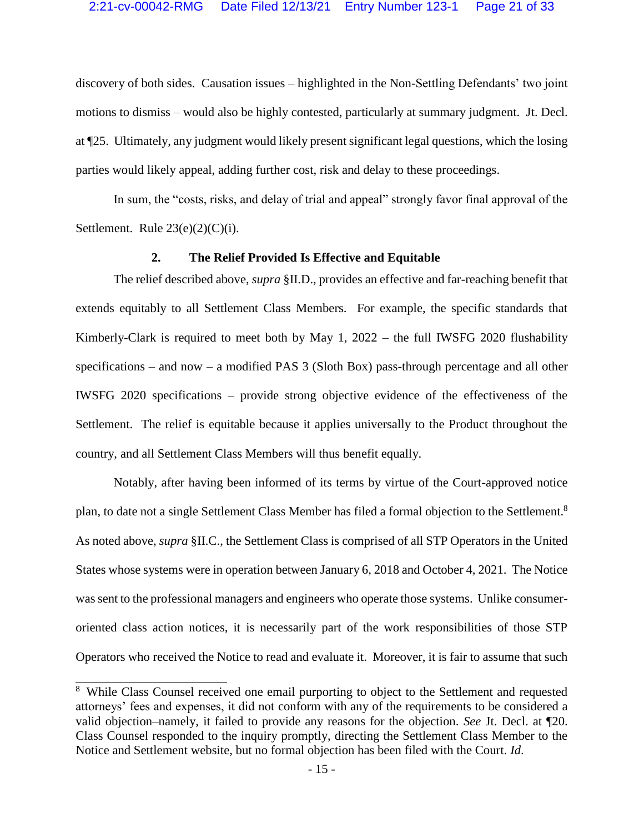discovery of both sides. Causation issues – highlighted in the Non-Settling Defendants' two joint motions to dismiss – would also be highly contested, particularly at summary judgment. Jt. Decl. at ¶25. Ultimately, any judgment would likely present significant legal questions, which the losing parties would likely appeal, adding further cost, risk and delay to these proceedings.

In sum, the "costs, risks, and delay of trial and appeal" strongly favor final approval of the Settlement. Rule  $23(e)(2)(C)(i)$ .

#### <span id="page-20-0"></span>**2. The Relief Provided Is Effective and Equitable**

The relief described above, *supra* §II.D., provides an effective and far-reaching benefit that extends equitably to all Settlement Class Members. For example, the specific standards that Kimberly-Clark is required to meet both by May 1, 2022 – the full IWSFG 2020 flushability specifications – and now – a modified PAS 3 (Sloth Box) pass-through percentage and all other IWSFG 2020 specifications – provide strong objective evidence of the effectiveness of the Settlement. The relief is equitable because it applies universally to the Product throughout the country, and all Settlement Class Members will thus benefit equally.

Notably, after having been informed of its terms by virtue of the Court-approved notice plan, to date not a single Settlement Class Member has filed a formal objection to the Settlement.<sup>8</sup> As noted above, *supra* §II.C., the Settlement Class is comprised of all STP Operators in the United States whose systems were in operation between January 6, 2018 and October 4, 2021. The Notice was sent to the professional managers and engineers who operate those systems. Unlike consumeroriented class action notices, it is necessarily part of the work responsibilities of those STP Operators who received the Notice to read and evaluate it. Moreover, it is fair to assume that such

í

<sup>&</sup>lt;sup>8</sup> While Class Counsel received one email purporting to object to the Settlement and requested attorneys' fees and expenses, it did not conform with any of the requirements to be considered a valid objection–namely, it failed to provide any reasons for the objection. *See* Jt. Decl. at ¶20. Class Counsel responded to the inquiry promptly, directing the Settlement Class Member to the Notice and Settlement website, but no formal objection has been filed with the Court. *Id*.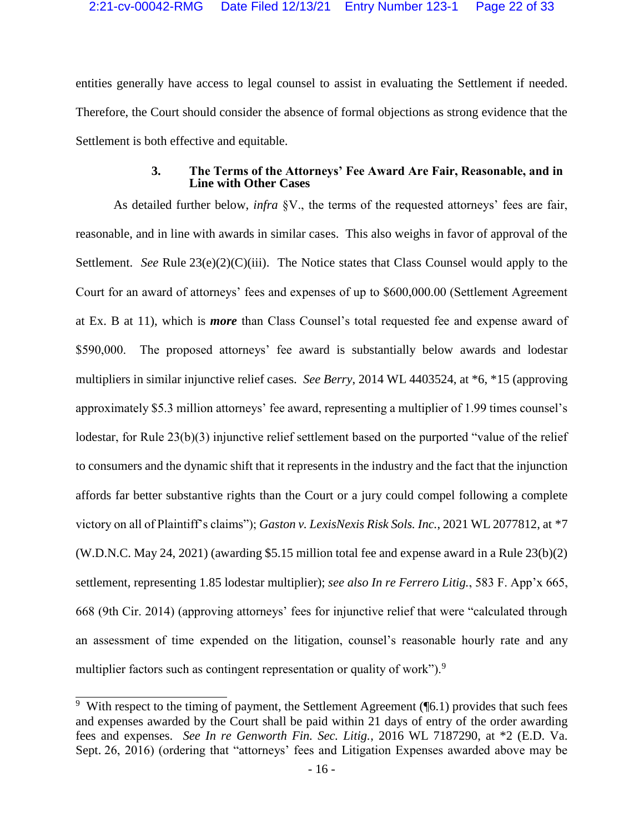entities generally have access to legal counsel to assist in evaluating the Settlement if needed. Therefore, the Court should consider the absence of formal objections as strong evidence that the Settlement is both effective and equitable.

#### <span id="page-21-4"></span>**3. The Terms of the Attorneys' Fee Award Are Fair, Reasonable, and in Line with Other Cases**

<span id="page-21-3"></span>As detailed further below, *infra* §V., the terms of the requested attorneys' fees are fair, reasonable, and in line with awards in similar cases. This also weighs in favor of approval of the Settlement. *See* Rule 23(e)(2)(C)(iii). The Notice states that Class Counsel would apply to the Court for an award of attorneys' fees and expenses of up to \$600,000.00 (Settlement Agreement at Ex. B at 11), which is *more* than Class Counsel's total requested fee and expense award of \$590,000. The proposed attorneys' fee award is substantially below awards and lodestar multipliers in similar injunctive relief cases. *See Berry*, 2014 WL 4403524, at \*6, \*15 (approving approximately \$5.3 million attorneys' fee award, representing a multiplier of 1.99 times counsel's lodestar, for Rule 23(b)(3) injunctive relief settlement based on the purported "value of the relief to consumers and the dynamic shift that it represents in the industry and the fact that the injunction affords far better substantive rights than the Court or a jury could compel following a complete victory on all of Plaintiff's claims"); *Gaston v. LexisNexis Risk Sols. Inc.*, 2021 WL 2077812, at \*7 (W.D.N.C. May 24, 2021) (awarding \$5.15 million total fee and expense award in a Rule 23(b)(2) settlement, representing 1.85 lodestar multiplier); *see also In re Ferrero Litig.*, 583 F. App'x 665, 668 (9th Cir. 2014) (approving attorneys' fees for injunctive relief that were "calculated through an assessment of time expended on the litigation, counsel's reasonable hourly rate and any multiplier factors such as contingent representation or quality of work").<sup>9</sup>

<span id="page-21-2"></span><span id="page-21-1"></span><span id="page-21-0"></span> $\frac{9}{9}$  With respect to the timing of payment, the Settlement Agreement ( $\sqrt{6}$ .1) provides that such fees and expenses awarded by the Court shall be paid within 21 days of entry of the order awarding fees and expenses. *See In re Genworth Fin. Sec. Litig.*, 2016 WL 7187290, at \*2 (E.D. Va. Sept. 26, 2016) (ordering that "attorneys' fees and Litigation Expenses awarded above may be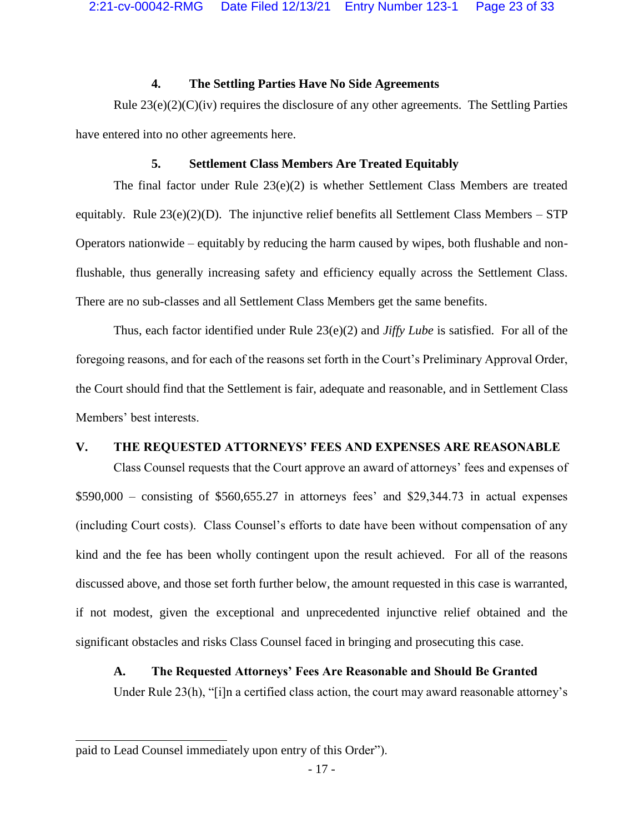#### <span id="page-22-1"></span>**4. The Settling Parties Have No Side Agreements**

Rule  $23(e)(2)(C)(iv)$  requires the disclosure of any other agreements. The Settling Parties have entered into no other agreements here.

#### <span id="page-22-2"></span><span id="page-22-0"></span>**5. Settlement Class Members Are Treated Equitably**

The final factor under Rule 23(e)(2) is whether Settlement Class Members are treated equitably. Rule  $23(e)(2)(D)$ . The injunctive relief benefits all Settlement Class Members – STP Operators nationwide – equitably by reducing the harm caused by wipes, both flushable and nonflushable, thus generally increasing safety and efficiency equally across the Settlement Class. There are no sub-classes and all Settlement Class Members get the same benefits.

Thus, each factor identified under Rule 23(e)(2) and *Jiffy Lube* is satisfied. For all of the foregoing reasons, and for each of the reasons set forth in the Court's Preliminary Approval Order, the Court should find that the Settlement is fair, adequate and reasonable, and in Settlement Class Members' best interests.

#### **V. THE REQUESTED ATTORNEYS' FEES AND EXPENSES ARE REASONABLE**

Class Counsel requests that the Court approve an award of attorneys' fees and expenses of \$590,000 – consisting of \$560,655.27 in attorneys fees' and \$29,344.73 in actual expenses (including Court costs). Class Counsel's efforts to date have been without compensation of any kind and the fee has been wholly contingent upon the result achieved. For all of the reasons discussed above, and those set forth further below, the amount requested in this case is warranted, if not modest, given the exceptional and unprecedented injunctive relief obtained and the significant obstacles and risks Class Counsel faced in bringing and prosecuting this case.

### **A. The Requested Attorneys' Fees Are Reasonable and Should Be Granted**

<span id="page-22-3"></span>Under Rule 23(h), "[i]n a certified class action, the court may award reasonable attorney's

 $\overline{a}$ 

paid to Lead Counsel immediately upon entry of this Order").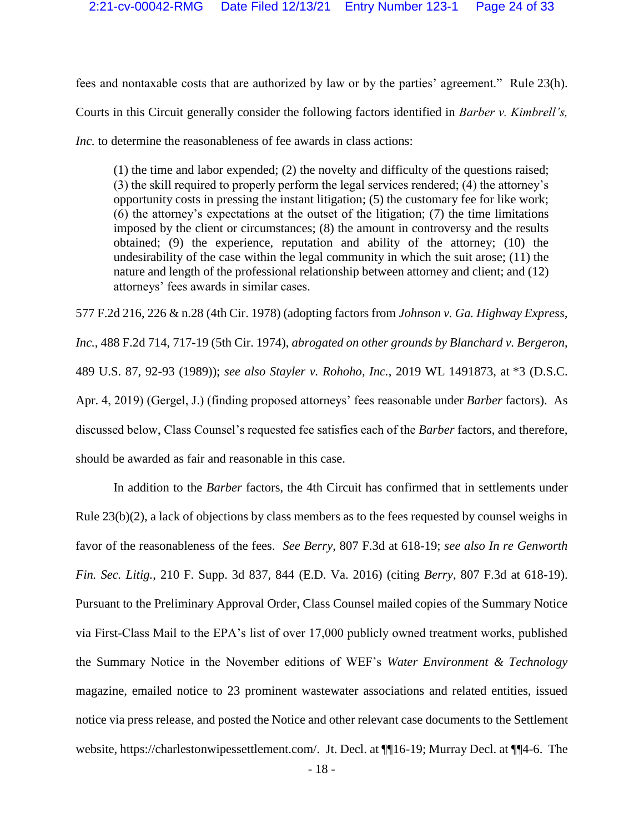fees and nontaxable costs that are authorized by law or by the parties' agreement." Rule 23(h). Courts in this Circuit generally consider the following factors identified in *Barber v. Kimbrell's, Inc.* to determine the reasonableness of fee awards in class actions:

<span id="page-23-3"></span><span id="page-23-1"></span>(1) the time and labor expended; (2) the novelty and difficulty of the questions raised; (3) the skill required to properly perform the legal services rendered; (4) the attorney's opportunity costs in pressing the instant litigation; (5) the customary fee for like work; (6) the attorney's expectations at the outset of the litigation; (7) the time limitations imposed by the client or circumstances; (8) the amount in controversy and the results obtained; (9) the experience, reputation and ability of the attorney; (10) the undesirability of the case within the legal community in which the suit arose; (11) the nature and length of the professional relationship between attorney and client; and (12) attorneys' fees awards in similar cases.

<span id="page-23-2"></span>577 F.2d 216, 226 & n.28 (4th Cir. 1978) (adopting factors from *Johnson v. Ga. Highway Express, Inc.*, 488 F.2d 714, 717-19 (5th Cir. 1974), *abrogated on other grounds by Blanchard v. Bergeron*, 489 U.S. 87, 92-93 (1989)); *see also Stayler v. Rohoho, Inc.*, 2019 WL 1491873, at \*3 (D.S.C. Apr. 4, 2019) (Gergel, J.) (finding proposed attorneys' fees reasonable under *Barber* factors). As discussed below, Class Counsel's requested fee satisfies each of the *Barber* factors, and therefore, should be awarded as fair and reasonable in this case.

<span id="page-23-0"></span>In addition to the *Barber* factors, the 4th Circuit has confirmed that in settlements under Rule 23(b)(2), a lack of objections by class members as to the fees requested by counsel weighs in favor of the reasonableness of the fees. *See Berry*, 807 F.3d at 618-19; *see also In re Genworth Fin. Sec. Litig.*, 210 F. Supp. 3d 837, 844 (E.D. Va. 2016) (citing *Berry*, 807 F.3d at 618-19). Pursuant to the Preliminary Approval Order, Class Counsel mailed copies of the Summary Notice via First-Class Mail to the EPA's list of over 17,000 publicly owned treatment works, published the Summary Notice in the November editions of WEF's *Water Environment & Technology* magazine, emailed notice to 23 prominent wastewater associations and related entities, issued notice via press release, and posted the Notice and other relevant case documents to the Settlement website, https://charlestonwipessettlement.com/. Jt. Decl. at ¶¶16-19; Murray Decl. at ¶¶4-6. The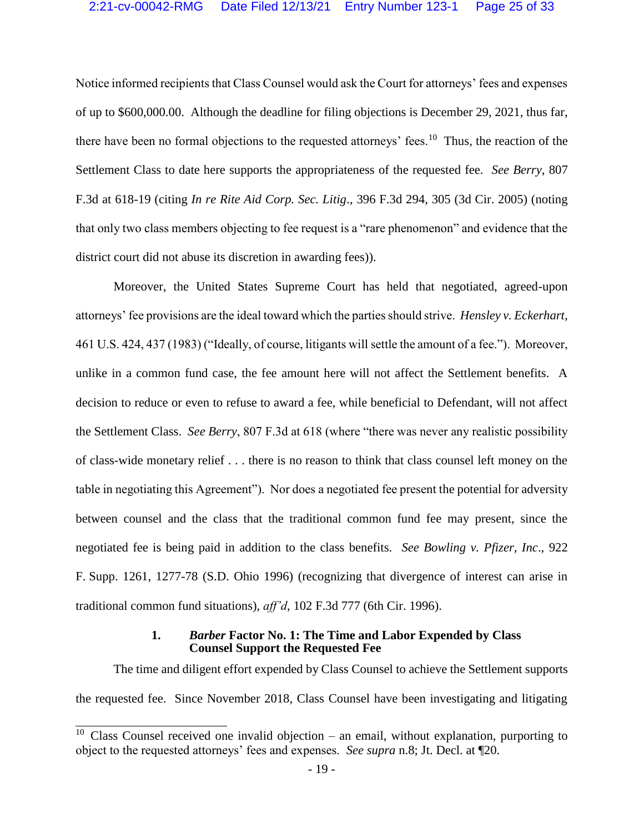Notice informed recipients that Class Counsel would ask the Court for attorneys' fees and expenses of up to \$600,000.00. Although the deadline for filing objections is December 29, 2021, thus far, there have been no formal objections to the requested attorneys' fees.<sup>10</sup> Thus, the reaction of the Settlement Class to date here supports the appropriateness of the requested fee. *See Berry*, 807 F.3d at 618-19 (citing *In re Rite Aid Corp. Sec. Litig*., 396 F.3d 294, 305 (3d Cir. 2005) (noting that only two class members objecting to fee request is a "rare phenomenon" and evidence that the district court did not abuse its discretion in awarding fees)).

<span id="page-24-2"></span><span id="page-24-1"></span>Moreover, the United States Supreme Court has held that negotiated, agreed-upon attorneys' fee provisions are the ideal toward which the parties should strive. *Hensley v. Eckerhart*, 461 U.S. 424, 437 (1983) ("Ideally, of course, litigants will settle the amount of a fee."). Moreover, unlike in a common fund case, the fee amount here will not affect the Settlement benefits. A decision to reduce or even to refuse to award a fee, while beneficial to Defendant, will not affect the Settlement Class. *See Berry*, 807 F.3d at 618 (where "there was never any realistic possibility of class-wide monetary relief . . . there is no reason to think that class counsel left money on the table in negotiating this Agreement"). Nor does a negotiated fee present the potential for adversity between counsel and the class that the traditional common fund fee may present, since the negotiated fee is being paid in addition to the class benefits. *See Bowling v. Pfizer, Inc*., 922 F. Supp. 1261, 1277-78 (S.D. Ohio 1996) (recognizing that divergence of interest can arise in traditional common fund situations), *aff'd*, 102 F.3d 777 (6th Cir. 1996).

#### <span id="page-24-0"></span>**1.** *Barber* **Factor No. 1: The Time and Labor Expended by Class Counsel Support the Requested Fee**

The time and diligent effort expended by Class Counsel to achieve the Settlement supports the requested fee. Since November 2018, Class Counsel have been investigating and litigating

<sup>&</sup>lt;sup>10</sup> Class Counsel received one invalid objection – an email, without explanation, purporting to object to the requested attorneys' fees and expenses. *See supra* n.8; Jt. Decl. at ¶20.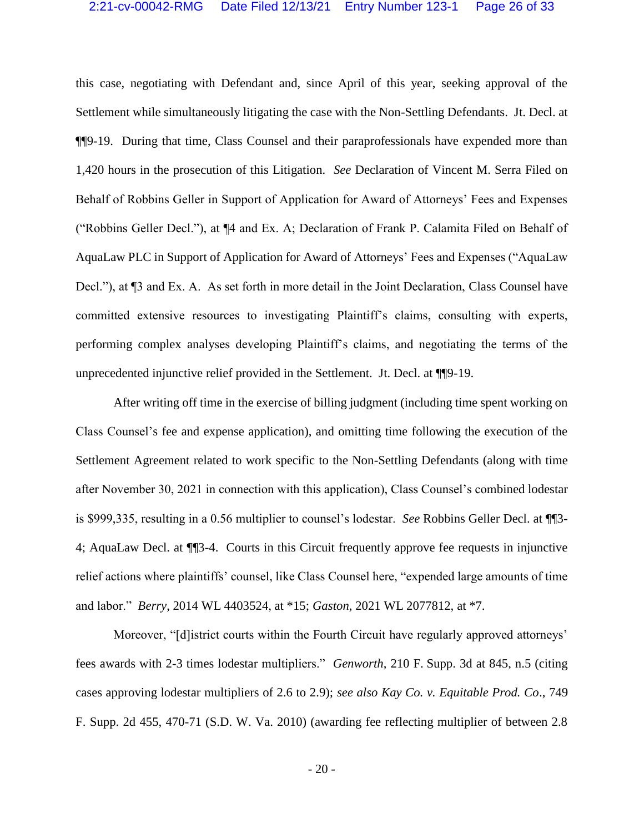this case, negotiating with Defendant and, since April of this year, seeking approval of the Settlement while simultaneously litigating the case with the Non-Settling Defendants. Jt. Decl. at ¶¶9-19. During that time, Class Counsel and their paraprofessionals have expended more than 1,420 hours in the prosecution of this Litigation. *See* Declaration of Vincent M. Serra Filed on Behalf of Robbins Geller in Support of Application for Award of Attorneys' Fees and Expenses ("Robbins Geller Decl."), at ¶4 and Ex. A; Declaration of Frank P. Calamita Filed on Behalf of AquaLaw PLC in Support of Application for Award of Attorneys' Fees and Expenses ("AquaLaw Decl."), at ¶3 and Ex. A. As set forth in more detail in the Joint Declaration, Class Counsel have committed extensive resources to investigating Plaintiff's claims, consulting with experts, performing complex analyses developing Plaintiff's claims, and negotiating the terms of the unprecedented injunctive relief provided in the Settlement. Jt. Decl. at ¶¶9-19.

After writing off time in the exercise of billing judgment (including time spent working on Class Counsel's fee and expense application), and omitting time following the execution of the Settlement Agreement related to work specific to the Non-Settling Defendants (along with time after November 30, 2021 in connection with this application), Class Counsel's combined lodestar is \$999,335, resulting in a 0.56 multiplier to counsel's lodestar. *See* Robbins Geller Decl. at ¶¶3- 4; AquaLaw Decl. at ¶¶3-4. Courts in this Circuit frequently approve fee requests in injunctive relief actions where plaintiffs' counsel, like Class Counsel here, "expended large amounts of time and labor." *Berry*, 2014 WL 4403524, at \*15; *Gaston*, 2021 WL 2077812, at \*7.

<span id="page-25-1"></span><span id="page-25-0"></span>Moreover, "[d]istrict courts within the Fourth Circuit have regularly approved attorneys' fees awards with 2-3 times lodestar multipliers." *Genworth*, 210 F. Supp. 3d at 845, n.5 (citing cases approving lodestar multipliers of 2.6 to 2.9); *see also Kay Co. v. Equitable Prod. Co*., 749 F. Supp. 2d 455, 470-71 (S.D. W. Va. 2010) (awarding fee reflecting multiplier of between 2.8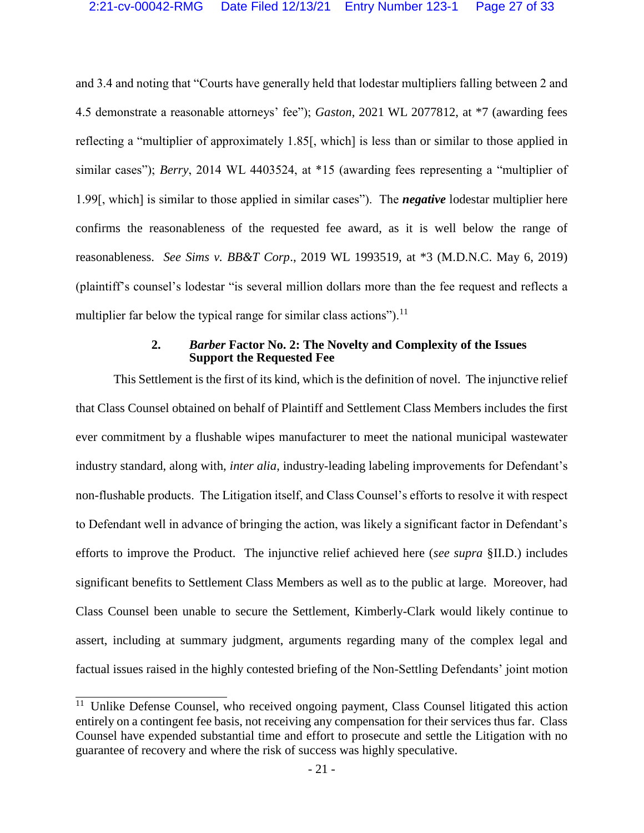and 3.4 and noting that "Courts have generally held that lodestar multipliers falling between 2 and 4.5 demonstrate a reasonable attorneys' fee"); *Gaston*, 2021 WL 2077812, at \*7 (awarding fees reflecting a "multiplier of approximately 1.85[, which] is less than or similar to those applied in similar cases"); *Berry*, 2014 WL 4403524, at \*15 (awarding fees representing a "multiplier of 1.99[, which] is similar to those applied in similar cases"). The *negative* lodestar multiplier here confirms the reasonableness of the requested fee award, as it is well below the range of reasonableness. *See Sims v. BB&T Corp*., 2019 WL 1993519, at \*3 (M.D.N.C. May 6, 2019) (plaintiff's counsel's lodestar "is several million dollars more than the fee request and reflects a multiplier far below the typical range for similar class actions").<sup>11</sup>

#### <span id="page-26-0"></span>**2.** *Barber* **Factor No. 2: The Novelty and Complexity of the Issues Support the Requested Fee**

This Settlement is the first of its kind, which is the definition of novel. The injunctive relief that Class Counsel obtained on behalf of Plaintiff and Settlement Class Members includes the first ever commitment by a flushable wipes manufacturer to meet the national municipal wastewater industry standard, along with, *inter alia*, industry-leading labeling improvements for Defendant's non-flushable products. The Litigation itself, and Class Counsel's efforts to resolve it with respect to Defendant well in advance of bringing the action, was likely a significant factor in Defendant's efforts to improve the Product. The injunctive relief achieved here (*see supra* §II.D.) includes significant benefits to Settlement Class Members as well as to the public at large. Moreover, had Class Counsel been unable to secure the Settlement, Kimberly-Clark would likely continue to assert, including at summary judgment, arguments regarding many of the complex legal and factual issues raised in the highly contested briefing of the Non-Settling Defendants' joint motion

<sup>&</sup>lt;sup>11</sup> Unlike Defense Counsel, who received ongoing payment, Class Counsel litigated this action entirely on a contingent fee basis, not receiving any compensation for their services thus far. Class Counsel have expended substantial time and effort to prosecute and settle the Litigation with no guarantee of recovery and where the risk of success was highly speculative.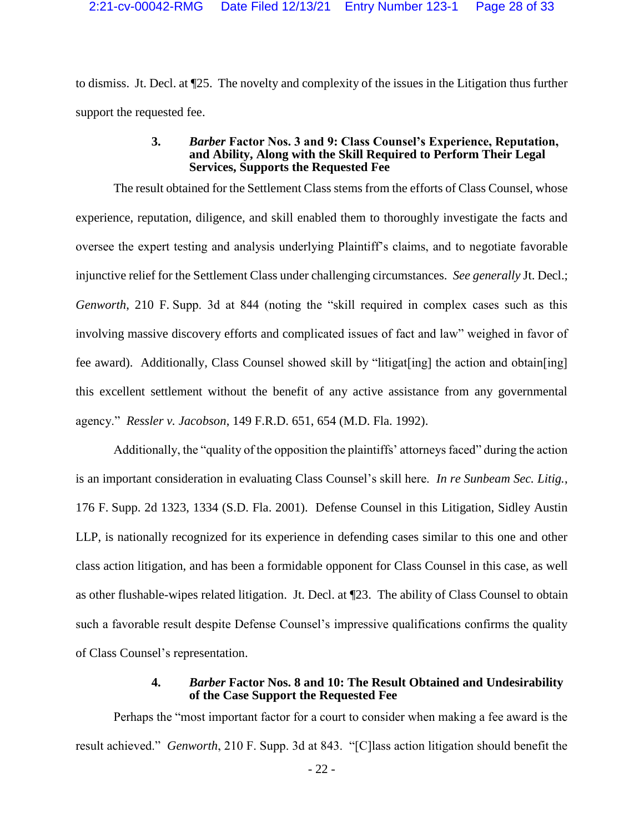to dismiss. Jt. Decl. at ¶25. The novelty and complexity of the issues in the Litigation thus further support the requested fee.

#### **3.** *Barber* **Factor Nos. 3 and 9: Class Counsel's Experience, Reputation, and Ability, Along with the Skill Required to Perform Their Legal Services, Supports the Requested Fee**

<span id="page-27-0"></span>The result obtained for the Settlement Class stems from the efforts of Class Counsel, whose experience, reputation, diligence, and skill enabled them to thoroughly investigate the facts and oversee the expert testing and analysis underlying Plaintiff's claims, and to negotiate favorable injunctive relief for the Settlement Class under challenging circumstances. *See generally* Jt. Decl.; *Genworth*, 210 F. Supp. 3d at 844 (noting the "skill required in complex cases such as this involving massive discovery efforts and complicated issues of fact and law" weighed in favor of fee award). Additionally, Class Counsel showed skill by "litigat[ing] the action and obtain[ing] this excellent settlement without the benefit of any active assistance from any governmental agency." *Ressler v. Jacobson*, 149 F.R.D. 651, 654 (M.D. Fla. 1992).

<span id="page-27-2"></span>Additionally, the "quality of the opposition the plaintiffs' attorneys faced" during the action is an important consideration in evaluating Class Counsel's skill here. *In re Sunbeam Sec. Litig.*, 176 F. Supp. 2d 1323, 1334 (S.D. Fla. 2001). Defense Counsel in this Litigation, Sidley Austin LLP, is nationally recognized for its experience in defending cases similar to this one and other class action litigation, and has been a formidable opponent for Class Counsel in this case, as well as other flushable-wipes related litigation. Jt. Decl. at ¶23. The ability of Class Counsel to obtain such a favorable result despite Defense Counsel's impressive qualifications confirms the quality of Class Counsel's representation.

#### <span id="page-27-1"></span>**4.** *Barber* **Factor Nos. 8 and 10: The Result Obtained and Undesirability of the Case Support the Requested Fee**

Perhaps the "most important factor for a court to consider when making a fee award is the result achieved." *Genworth*, 210 F. Supp. 3d at 843. "[C]lass action litigation should benefit the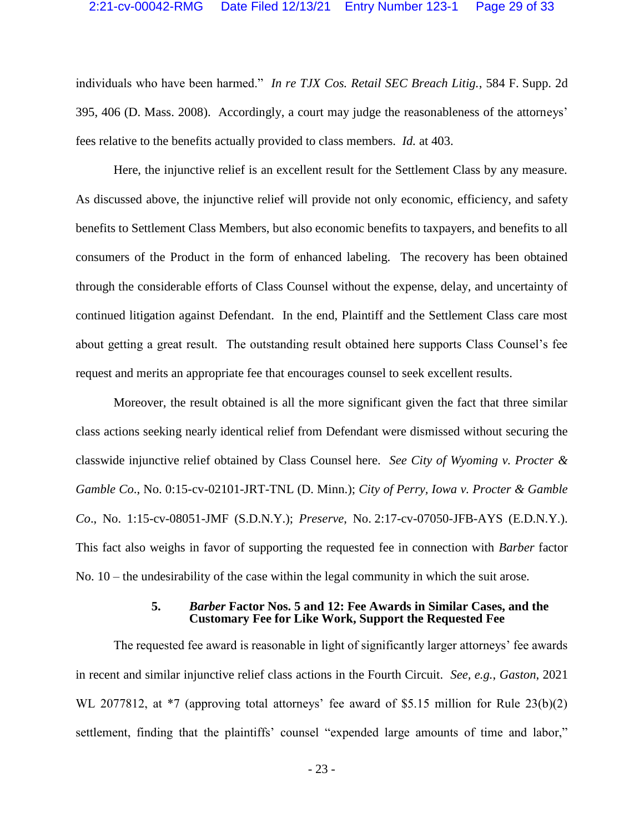<span id="page-28-0"></span>individuals who have been harmed." *In re TJX Cos. Retail SEC Breach Litig.*, 584 F. Supp. 2d 395, 406 (D. Mass. 2008). Accordingly, a court may judge the reasonableness of the attorneys' fees relative to the benefits actually provided to class members. *Id.* at 403.

Here, the injunctive relief is an excellent result for the Settlement Class by any measure. As discussed above, the injunctive relief will provide not only economic, efficiency, and safety benefits to Settlement Class Members, but also economic benefits to taxpayers, and benefits to all consumers of the Product in the form of enhanced labeling. The recovery has been obtained through the considerable efforts of Class Counsel without the expense, delay, and uncertainty of continued litigation against Defendant. In the end, Plaintiff and the Settlement Class care most about getting a great result. The outstanding result obtained here supports Class Counsel's fee request and merits an appropriate fee that encourages counsel to seek excellent results.

Moreover, the result obtained is all the more significant given the fact that three similar class actions seeking nearly identical relief from Defendant were dismissed without securing the classwide injunctive relief obtained by Class Counsel here. *See City of Wyoming v. Procter & Gamble Co*., No. 0:15-cv-02101-JRT-TNL (D. Minn.); *City of Perry, Iowa v. Procter & Gamble Co*., No. 1:15-cv-08051-JMF (S.D.N.Y.); *Preserve*, No. 2:17-cv-07050-JFB-AYS (E.D.N.Y.). This fact also weighs in favor of supporting the requested fee in connection with *Barber* factor No. 10 – the undesirability of the case within the legal community in which the suit arose.

#### **5.** *Barber* **Factor Nos. 5 and 12: Fee Awards in Similar Cases, and the Customary Fee for Like Work, Support the Requested Fee**

The requested fee award is reasonable in light of significantly larger attorneys' fee awards in recent and similar injunctive relief class actions in the Fourth Circuit. *See, e.g.*, *Gaston*, 2021 WL 2077812, at \*7 (approving total attorneys' fee award of \$5.15 million for Rule 23(b)(2) settlement, finding that the plaintiffs' counsel "expended large amounts of time and labor,"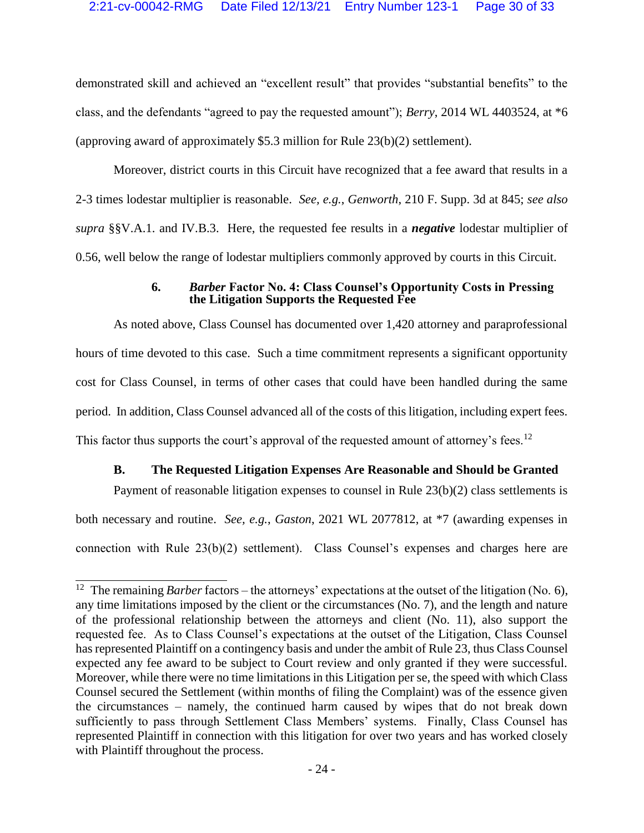demonstrated skill and achieved an "excellent result" that provides "substantial benefits" to the class, and the defendants "agreed to pay the requested amount"); *Berry*, 2014 WL 4403524, at \*6 (approving award of approximately \$5.3 million for Rule 23(b)(2) settlement).

Moreover, district courts in this Circuit have recognized that a fee award that results in a 2-3 times lodestar multiplier is reasonable. *See, e.g.*, *Genworth*, 210 F. Supp. 3d at 845; *see also supra* §§V.A.1. and IV.B.3. Here, the requested fee results in a *negative* lodestar multiplier of 0.56, well below the range of lodestar multipliers commonly approved by courts in this Circuit.

#### <span id="page-29-0"></span>**6.** *Barber* **Factor No. 4: Class Counsel's Opportunity Costs in Pressing the Litigation Supports the Requested Fee**

As noted above, Class Counsel has documented over 1,420 attorney and paraprofessional hours of time devoted to this case. Such a time commitment represents a significant opportunity cost for Class Counsel, in terms of other cases that could have been handled during the same period. In addition, Class Counsel advanced all of the costs of this litigation, including expert fees. This factor thus supports the court's approval of the requested amount of attorney's fees.<sup>12</sup>

#### **B. The Requested Litigation Expenses Are Reasonable and Should be Granted**

Payment of reasonable litigation expenses to counsel in Rule  $23(b)(2)$  class settlements is both necessary and routine. *See, e.g.*, *Gaston*, 2021 WL 2077812, at \*7 (awarding expenses in connection with Rule 23(b)(2) settlement). Class Counsel's expenses and charges here are

<span id="page-29-1"></span><sup>&</sup>lt;sup>12</sup> The remaining *Barber* factors – the attorneys' expectations at the outset of the litigation (No. 6), any time limitations imposed by the client or the circumstances (No. 7), and the length and nature of the professional relationship between the attorneys and client (No. 11), also support the requested fee. As to Class Counsel's expectations at the outset of the Litigation, Class Counsel has represented Plaintiff on a contingency basis and under the ambit of Rule 23, thus Class Counsel expected any fee award to be subject to Court review and only granted if they were successful. Moreover, while there were no time limitations in this Litigation per se, the speed with which Class Counsel secured the Settlement (within months of filing the Complaint) was of the essence given the circumstances – namely, the continued harm caused by wipes that do not break down sufficiently to pass through Settlement Class Members' systems. Finally, Class Counsel has represented Plaintiff in connection with this litigation for over two years and has worked closely with Plaintiff throughout the process.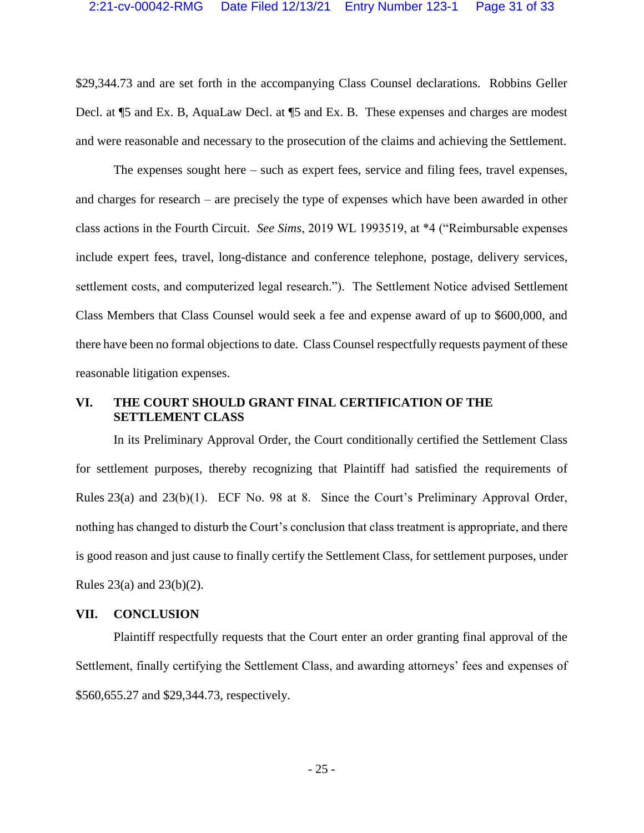\$29,344.73 and are set forth in the accompanying Class Counsel declarations. Robbins Geller Decl. at ¶5 and Ex. B, AquaLaw Decl. at ¶5 and Ex. B. These expenses and charges are modest and were reasonable and necessary to the prosecution of the claims and achieving the Settlement.

<span id="page-30-0"></span>The expenses sought here – such as expert fees, service and filing fees, travel expenses, and charges for research – are precisely the type of expenses which have been awarded in other class actions in the Fourth Circuit. *See Sims*, 2019 WL 1993519, at \*4 ("Reimbursable expenses include expert fees, travel, long-distance and conference telephone, postage, delivery services, settlement costs, and computerized legal research."). The Settlement Notice advised Settlement Class Members that Class Counsel would seek a fee and expense award of up to \$600,000, and there have been no formal objections to date. Class Counsel respectfully requests payment of these reasonable litigation expenses.

#### **VI. THE COURT SHOULD GRANT FINAL CERTIFICATION OF THE SETTLEMENT CLASS**

<span id="page-30-1"></span>In its Preliminary Approval Order, the Court conditionally certified the Settlement Class for settlement purposes, thereby recognizing that Plaintiff had satisfied the requirements of Rules 23(a) and 23(b)(1). ECF No. 98 at 8. Since the Court's Preliminary Approval Order, nothing has changed to disturb the Court's conclusion that class treatment is appropriate, and there is good reason and just cause to finally certify the Settlement Class, for settlement purposes, under Rules 23(a) and 23(b)(2).

#### **VII. CONCLUSION**

Plaintiff respectfully requests that the Court enter an order granting final approval of the Settlement, finally certifying the Settlement Class, and awarding attorneys' fees and expenses of \$560,655.27 and \$29,344.73, respectively.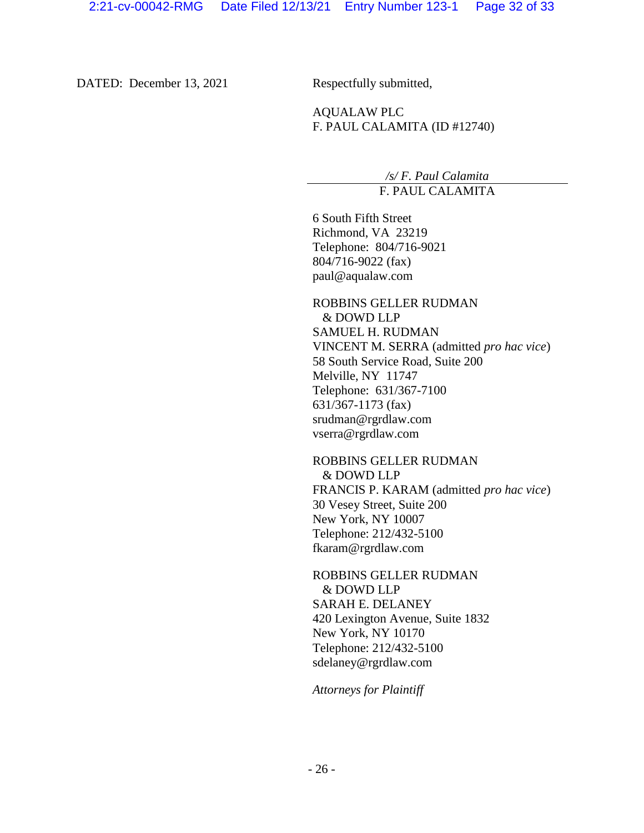DATED: December 13, 2021 Respectfully submitted,

AQUALAW PLC F. PAUL CALAMITA (ID #12740)

> */s/ F. Paul Calamita* F. PAUL CALAMITA

6 South Fifth Street Richmond, VA 23219 Telephone: 804/716-9021 804/716-9022 (fax) paul@aqualaw.com

ROBBINS GELLER RUDMAN & DOWD LLP SAMUEL H. RUDMAN VINCENT M. SERRA (admitted *pro hac vice*) 58 South Service Road, Suite 200 Melville, NY 11747 Telephone: 631/367-7100 631/367-1173 (fax) srudman@rgrdlaw.com vserra@rgrdlaw.com

ROBBINS GELLER RUDMAN & DOWD LLP FRANCIS P. KARAM (admitted *pro hac vice*) 30 Vesey Street, Suite 200 New York, NY 10007 Telephone: 212/432-5100 fkaram@rgrdlaw.com

ROBBINS GELLER RUDMAN & DOWD LLP SARAH E. DELANEY 420 Lexington Avenue, Suite 1832 New York, NY 10170 Telephone: 212/432-5100 sdelaney@rgrdlaw.com

*Attorneys for Plaintiff*